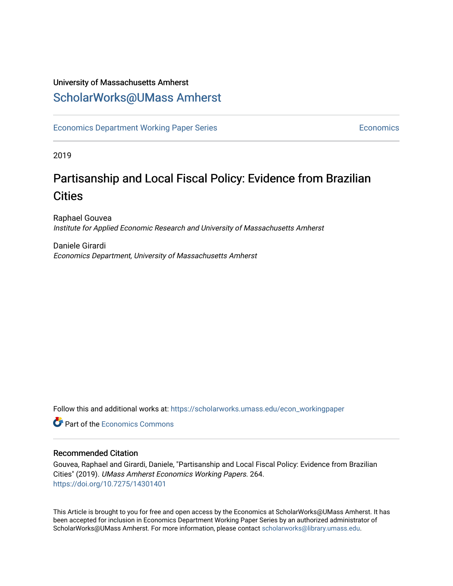## University of Massachusetts Amherst [ScholarWorks@UMass Amherst](https://scholarworks.umass.edu/)

[Economics Department Working Paper Series](https://scholarworks.umass.edu/econ_workingpaper) **Economics** [Economics](https://scholarworks.umass.edu/economics) Economics

2019

## Partisanship and Local Fiscal Policy: Evidence from Brazilian **Cities**

Raphael Gouvea Institute for Applied Economic Research and University of Massachusetts Amherst

Daniele Girardi Economics Department, University of Massachusetts Amherst

Follow this and additional works at: [https://scholarworks.umass.edu/econ\\_workingpaper](https://scholarworks.umass.edu/econ_workingpaper?utm_source=scholarworks.umass.edu%2Fecon_workingpaper%2F264&utm_medium=PDF&utm_campaign=PDFCoverPages) 

**C** Part of the [Economics Commons](http://network.bepress.com/hgg/discipline/340?utm_source=scholarworks.umass.edu%2Fecon_workingpaper%2F264&utm_medium=PDF&utm_campaign=PDFCoverPages)

#### Recommended Citation

Gouvea, Raphael and Girardi, Daniele, "Partisanship and Local Fiscal Policy: Evidence from Brazilian Cities" (2019). UMass Amherst Economics Working Papers. 264. <https://doi.org/10.7275/14301401>

This Article is brought to you for free and open access by the Economics at ScholarWorks@UMass Amherst. It has been accepted for inclusion in Economics Department Working Paper Series by an authorized administrator of ScholarWorks@UMass Amherst. For more information, please contact [scholarworks@library.umass.edu.](mailto:scholarworks@library.umass.edu)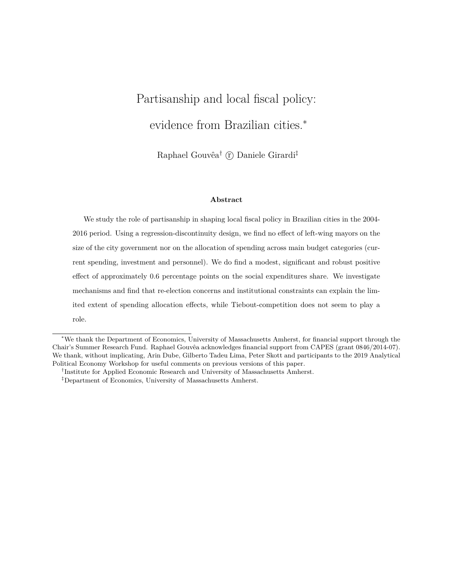# Partisanship and local fiscal policy: evidence from Brazilian cities.<sup>∗</sup>

Raphael Gouvêa† *⃝*<sup>r</sup> Daniele Girardi‡

#### **Abstract**

We study the role of partisanship in shaping local fiscal policy in Brazilian cities in the 2004- 2016 period. Using a regression-discontinuity design, we find no effect of left-wing mayors on the size of the city government nor on the allocation of spending across main budget categories (current spending, investment and personnel). We do find a modest, significant and robust positive effect of approximately 0.6 percentage points on the social expenditures share. We investigate mechanisms and find that re-election concerns and institutional constraints can explain the limited extent of spending allocation effects, while Tiebout-competition does not seem to play a role.

<sup>∗</sup>We thank the Department of Economics, University of Massachusetts Amherst, for financial support through the Chair's Summer Research Fund. Raphael Gouvêa acknowledges financial support from CAPES (grant 0846/2014-07). We thank, without implicating, Arin Dube, Gilberto Tadeu Lima, Peter Skott and participants to the 2019 Analytical Political Economy Workshop for useful comments on previous versions of this paper.

<sup>&</sup>lt;sup>†</sup>Institute for Applied Economic Research and University of Massachusetts Amherst.

<sup>‡</sup>Department of Economics, University of Massachusetts Amherst.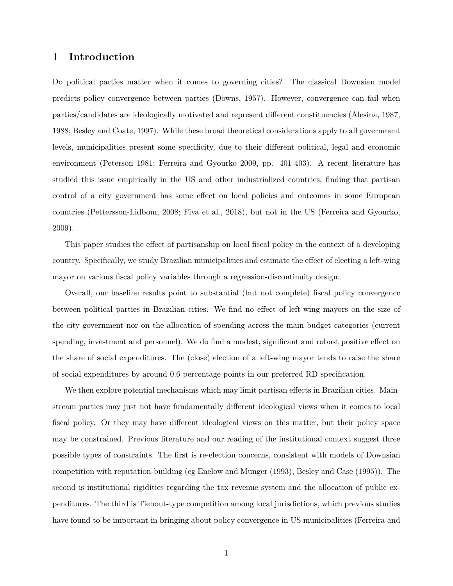#### **1 Introduction**

Do political parties matter when it comes to governing cities? The classical Downsian model predicts policy convergence between parties [\(Downs,](#page-18-0) [1957](#page-18-0)). However, convergence can fail when parties/candidates are ideologically motivated and represent different constituencies [\(Alesina](#page-17-0), [1987](#page-17-0), [1988;](#page-17-1) [Besley and Coate,](#page-17-2) [1997](#page-17-2)). While these broad theoretical considerations apply to all government levels, municipalities present some specificity, due to their different political, legal and economic environment ([Peterson](#page-19-0) [1981;](#page-19-0) [Ferreira and Gyourko](#page-18-1) [2009,](#page-18-1) pp. 401-403). A recent literature has studied this issue empirically in the US and other industrialized countries, finding that partisan control of a city government has some effect on local policies and outcomes in some European countries [\(Pettersson-Lidbom](#page-20-0), [2008](#page-20-0); [Fiva et al.](#page-18-2), [2018](#page-18-2)), but not in the US [\(Ferreira and Gyourko](#page-18-1), [2009\)](#page-18-1).

This paper studies the effect of partisanship on local fiscal policy in the context of a developing country. Specifically, we study Brazilian municipalities and estimate the effect of electing a left-wing mayor on various fiscal policy variables through a regression-discontinuity design.

Overall, our baseline results point to substantial (but not complete) fiscal policy convergence between political parties in Brazilian cities. We find no effect of left-wing mayors on the size of the city government nor on the allocation of spending across the main budget categories (current spending, investment and personnel). We do find a modest, significant and robust positive effect on the share of social expenditures. The (close) election of a left-wing mayor tends to raise the share of social expenditures by around 0.6 percentage points in our preferred RD specification.

We then explore potential mechanisms which may limit partisan effects in Brazilian cities. Mainstream parties may just not have fundamentally different ideological views when it comes to local fiscal policy. Or they may have different ideological views on this matter, but their policy space may be constrained. Previous literature and our reading of the institutional context suggest three possible types of constraints. The first is re-election concerns, consistent with models of Downsian competition with reputation-building (eg [Enelow and Munger](#page-18-3) ([1993\)](#page-18-3), [Besley and Case](#page-17-3) [\(1995](#page-17-3))). The second is institutional rigidities regarding the tax revenue system and the allocation of public expenditures. The third is Tiebout-type competition among local jurisdictions, which previous studies have found to be important in bringing about policy convergence in US municipalities [\(Ferreira and](#page-18-1)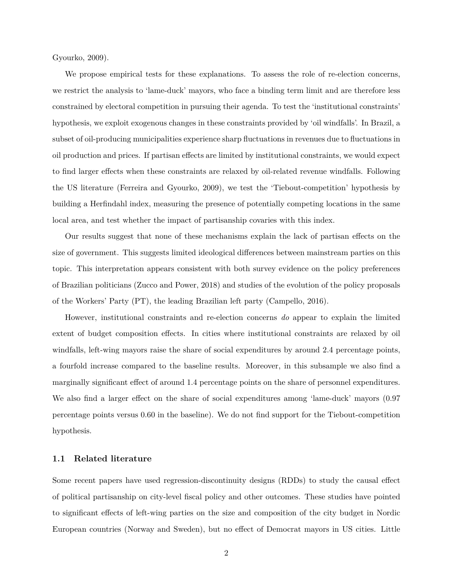[Gyourko,](#page-18-1) [2009](#page-18-1)).

We propose empirical tests for these explanations. To assess the role of re-election concerns, we restrict the analysis to 'lame-duck' mayors, who face a binding term limit and are therefore less constrained by electoral competition in pursuing their agenda. To test the 'institutional constraints' hypothesis, we exploit exogenous changes in these constraints provided by 'oil windfalls'. In Brazil, a subset of oil-producing municipalities experience sharp fluctuations in revenues due to fluctuations in oil production and prices. If partisan effects are limited by institutional constraints, we would expect to find larger effects when these constraints are relaxed by oil-related revenue windfalls. Following the US literature [\(Ferreira and Gyourko,](#page-18-1) [2009\)](#page-18-1), we test the 'Tiebout-competition' hypothesis by building a Herfindahl index, measuring the presence of potentially competing locations in the same local area, and test whether the impact of partisanship covaries with this index.

Our results suggest that none of these mechanisms explain the lack of partisan effects on the size of government. This suggests limited ideological differences between mainstream parties on this topic. This interpretation appears consistent with both survey evidence on the policy preferences of Brazilian politicians [\(Zucco and Power,](#page-20-1) [2018\)](#page-20-1) and studies of the evolution of the policy proposals of the Workers' Party (PT), the leading Brazilian left party ([Campello,](#page-18-4) [2016](#page-18-4)).

However, institutional constraints and re-election concerns *do* appear to explain the limited extent of budget composition effects. In cities where institutional constraints are relaxed by oil windfalls, left-wing mayors raise the share of social expenditures by around 2.4 percentage points, a fourfold increase compared to the baseline results. Moreover, in this subsample we also find a marginally significant effect of around 1.4 percentage points on the share of personnel expenditures. We also find a larger effect on the share of social expenditures among 'lame-duck' mayors (0.97 percentage points versus 0.60 in the baseline). We do not find support for the Tiebout-competition hypothesis.

#### **1.1 Related literature**

Some recent papers have used regression-discontinuity designs (RDDs) to study the causal effect of political partisanship on city-level fiscal policy and other outcomes. These studies have pointed to significant effects of left-wing parties on the size and composition of the city budget in Nordic European countries (Norway and Sweden), but no effect of Democrat mayors in US cities. Little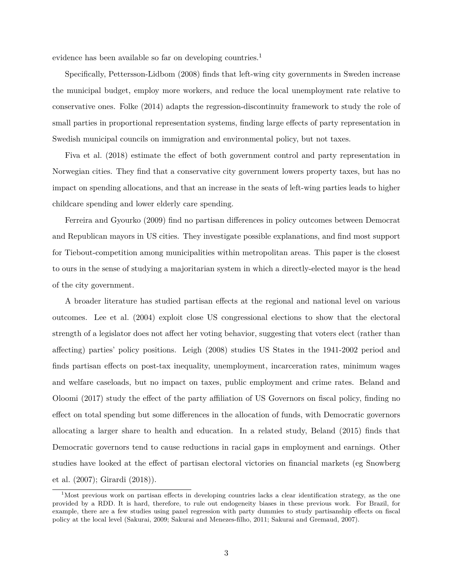evidence has been available so far on developing countries.<sup>[1](#page-4-0)</sup>

Specifically, [Pettersson-Lidbom](#page-20-0) ([2008](#page-20-0)) finds that left-wing city governments in Sweden increase the municipal budget, employ more workers, and reduce the local unemployment rate relative to conservative ones. [Folke](#page-18-5) ([2014\)](#page-18-5) adapts the regression-discontinuity framework to study the role of small parties in proportional representation systems, finding large effects of party representation in Swedish municipal councils on immigration and environmental policy, but not taxes.

[Fiva et al.](#page-18-2) ([2018\)](#page-18-2) estimate the effect of both government control and party representation in Norwegian cities. They find that a conservative city government lowers property taxes, but has no impact on spending allocations, and that an increase in the seats of left-wing parties leads to higher childcare spending and lower elderly care spending.

[Ferreira and Gyourko](#page-18-1) [\(2009\)](#page-18-1) find no partisan differences in policy outcomes between Democrat and Republican mayors in US cities. They investigate possible explanations, and find most support for Tiebout-competition among municipalities within metropolitan areas. This paper is the closest to ours in the sense of studying a majoritarian system in which a directly-elected mayor is the head of the city government.

A broader literature has studied partisan effects at the regional and national level on various outcomes. [Lee et al.](#page-19-1) ([2004\)](#page-19-1) exploit close US congressional elections to show that the electoral strength of a legislator does not affect her voting behavior, suggesting that voters elect (rather than affecting) parties' policy positions. [Leigh](#page-19-2) ([2008\)](#page-19-2) studies US States in the 1941-2002 period and finds partisan effects on post-tax inequality, unemployment, incarceration rates, minimum wages and welfare caseloads, but no impact on taxes, public employment and crime rates. [Beland and](#page-17-4) [Oloomi](#page-17-4) ([2017\)](#page-17-4) study the effect of the party affiliation of US Governors on fiscal policy, finding no effect on total spending but some differences in the allocation of funds, with Democratic governors allocating a larger share to health and education. In a related study, [Beland](#page-17-5) ([2015\)](#page-17-5) finds that Democratic governors tend to cause reductions in racial gaps in employment and earnings. Other studies have looked at the effect of partisan electoral victories on financial markets (eg [Snowberg](#page-20-2) [et al.](#page-20-2) ([2007\)](#page-20-2); [Girardi](#page-18-6) [\(2018](#page-18-6))).

<span id="page-4-0"></span><sup>&</sup>lt;sup>1</sup>Most previous work on partisan effects in developing countries lacks a clear identification strategy, as the one provided by a RDD. It is hard, therefore, to rule out endogeneity biases in these previous work. For Brazil, for example, there are a few studies using panel regression with party dummies to study partisanship effects on fiscal policy at the local level ([Sakurai](#page-20-3), [2009](#page-20-3); [Sakurai and Menezes-filho](#page-20-4), [2011](#page-20-4); [Sakurai and Gremaud,](#page-20-5) [2007](#page-20-5)).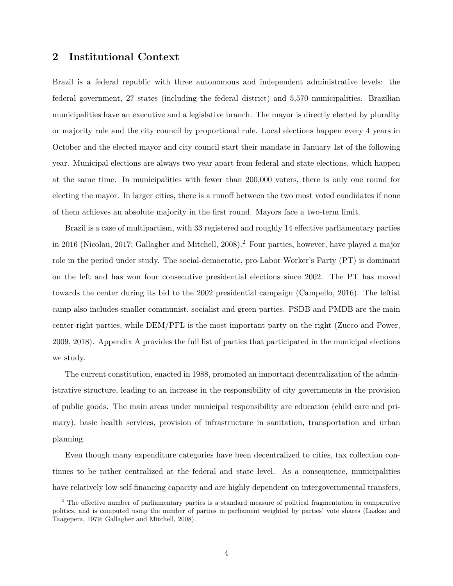#### <span id="page-5-1"></span>**2 Institutional Context**

Brazil is a federal republic with three autonomous and independent administrative levels: the federal government, 27 states (including the federal district) and 5,570 municipalities. Brazilian municipalities have an executive and a legislative branch. The mayor is directly elected by plurality or majority rule and the city council by proportional rule. Local elections happen every 4 years in October and the elected mayor and city council start their mandate in January 1st of the following year. Municipal elections are always two year apart from federal and state elections, which happen at the same time. In municipalities with fewer than 200,000 voters, there is only one round for electing the mayor. In larger cities, there is a runoff between the two most voted candidates if none of them achieves an absolute majority in the first round. Mayors face a two-term limit.

Brazil is a case of multipartism, with 33 registered and roughly 14 effective parliamentary parties in 2016 ([Nicolau,](#page-19-3) [2017;](#page-19-3) [Gallagher and Mitchell](#page-18-7), [2008](#page-18-7)).<sup>[2](#page-5-0)</sup> Four parties, however, have played a major role in the period under study. The social-democratic, pro-Labor Worker's Party (PT) is dominant on the left and has won four consecutive presidential elections since 2002. The PT has moved towards the center during its bid to the 2002 presidential campaign [\(Campello](#page-18-4), [2016](#page-18-4)). The leftist camp also includes smaller communist, socialist and green parties. PSDB and PMDB are the main center-right parties, while DEM/PFL is the most important party on the right [\(Zucco and Power](#page-20-6), [2009,](#page-20-6) [2018\)](#page-20-1). Appendix [A](#page-26-0) provides the full list of parties that participated in the municipal elections we study.

The current constitution, enacted in 1988, promoted an important decentralization of the administrative structure, leading to an increase in the responsibility of city governments in the provision of public goods. The main areas under municipal responsibility are education (child care and primary), basic health services, provision of infrastructure in sanitation, transportation and urban planning.

Even though many expenditure categories have been decentralized to cities, tax collection continues to be rather centralized at the federal and state level. As a consequence, municipalities have relatively low self-financing capacity and are highly dependent on intergovernmental transfers,

<span id="page-5-0"></span><sup>&</sup>lt;sup>2</sup> The effective number of parliamentary parties is a standard measure of political fragmentation in comparative politics, and is computed using the number of parties in parliament weighted by parties' vote shares [\(Laakso and](#page-19-4) [Taagepera](#page-19-4), [1979](#page-19-4); [Gallagher and Mitchell,](#page-18-7) [2008\)](#page-18-7).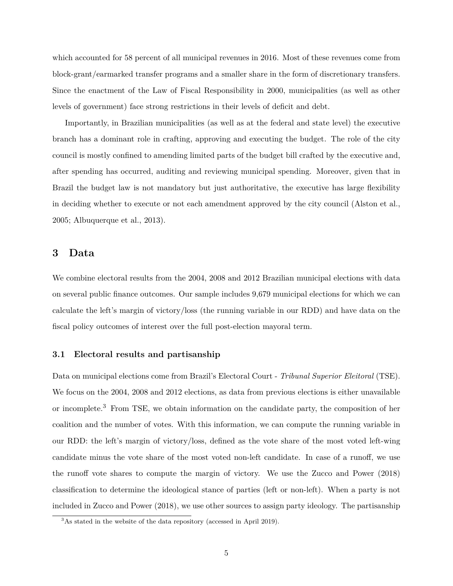which accounted for 58 percent of all municipal revenues in 2016. Most of these revenues come from block-grant/earmarked transfer programs and a smaller share in the form of discretionary transfers. Since the enactment of the Law of Fiscal Responsibility in 2000, municipalities (as well as other levels of government) face strong restrictions in their levels of deficit and debt.

Importantly, in Brazilian municipalities (as well as at the federal and state level) the executive branch has a dominant role in crafting, approving and executing the budget. The role of the city council is mostly confined to amending limited parts of the budget bill crafted by the executive and, after spending has occurred, auditing and reviewing municipal spending. Moreover, given that in Brazil the budget law is not mandatory but just authoritative, the executive has large flexibility in deciding whether to execute or not each amendment approved by the city council [\(Alston et al.](#page-17-6), [2005;](#page-17-6) [Albuquerque et al.](#page-17-7), [2013\)](#page-17-7).

#### **3 Data**

We combine electoral results from the 2004, 2008 and 2012 Brazilian municipal elections with data on several public finance outcomes. Our sample includes 9,679 municipal elections for which we can calculate the left's margin of victory/loss (the running variable in our RDD) and have data on the fiscal policy outcomes of interest over the full post-election mayoral term.

#### **3.1 Electoral results and partisanship**

Data on municipal elections come from Brazil's Electoral Court - *Tribunal Superior Eleitoral* (TSE). We focus on the 2004, 2008 and 2012 elections, as data from previous elections is either unavailable or incomplete.[3](#page-6-0) From TSE, we obtain information on the candidate party, the composition of her coalition and the number of votes. With this information, we can compute the running variable in our RDD: the left's margin of victory/loss, defined as the vote share of the most voted left-wing candidate minus the vote share of the most voted non-left candidate. In case of a runoff, we use the runoff vote shares to compute the margin of victory. We use the [Zucco and Power](#page-20-1) [\(2018\)](#page-20-1) classification to determine the ideological stance of parties (left or non-left). When a party is not included in [Zucco and Power](#page-20-1) ([2018\)](#page-20-1), we use other sources to assign party ideology. The partisanship

<span id="page-6-0"></span><sup>&</sup>lt;sup>3</sup>As stated in the [website](http://www.tse.jus.br/eleicoes/estatisticas/repositorio-de-dados-eleitorais-1/repositorio-de-dados-eleitorais) of the data repository (accessed in April 2019).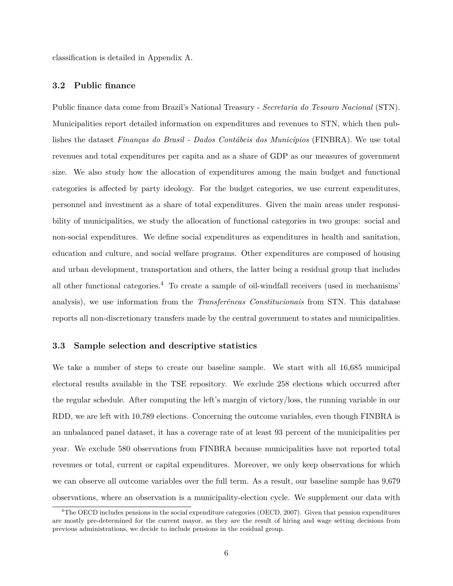classification is detailed in Appendix [A.](#page-26-0)

#### **3.2 Public finance**

Public finance data come from Brazil's National Treasury - *Secretaria do Tesouro Nacional* (STN). Municipalities report detailed information on expenditures and revenues to STN, which then publishes the dataset *[Finanças do Brasil - Dados Contábeis dos Municípios](http://www.tesouro.fazenda.gov.br/contas-anuais)* (FINBRA). We use total revenues and total expenditures per capita and as a share of GDP as our measures of government size. We also study how the allocation of expenditures among the main budget and functional categories is affected by party ideology. For the budget categories, we use current expenditures, personnel and investment as a share of total expenditures. Given the main areas under responsibility of municipalities, we study the allocation of functional categories in two groups: social and non-social expenditures. We define social expenditures as expenditures in health and sanitation, education and culture, and social welfare programs. Other expenditures are composed of housing and urban development, transportation and others, the latter being a residual group that includes all other functional categories.<sup>[4](#page-7-0)</sup> To create a sample of oil-windfall receivers (used in mechanisms' analysis), we use information from the *[Transferêncas Constitucionais](http://sisweb.tesouro.gov.br/apex/f?p=2600:1)* from STN. This database reports all non-discretionary transfers made by the central government to states and municipalities.

#### **3.3 Sample selection and descriptive statistics**

We take a number of steps to create our baseline sample. We start with all 16,685 municipal electoral results available in the TSE repository. We exclude 258 elections which occurred after the regular schedule. After computing the left's margin of victory/loss, the running variable in our RDD, we are left with 10,789 elections. Concerning the outcome variables, even though FINBRA is an unbalanced panel dataset, it has a coverage rate of at least 93 percent of the municipalities per year. We exclude 580 observations from FINBRA because municipalities have not reported total revenues or total, current or capital expenditures. Moreover, we only keep observations for which we can observe all outcome variables over the full term. As a result, our baseline sample has 9,679 observations, where an observation is a municipality-election cycle. We supplement our data with

<span id="page-7-0"></span><sup>&</sup>lt;sup>4</sup>The OECD includes pensions in the social expenditure categories [\(OECD](#page-19-5), [2007\)](#page-19-5). Given that pension expenditures are mostly pre-determined for the current mayor, as they are the result of hiring and wage setting decisions from previous administrations, we decide to include pensions in the residual group.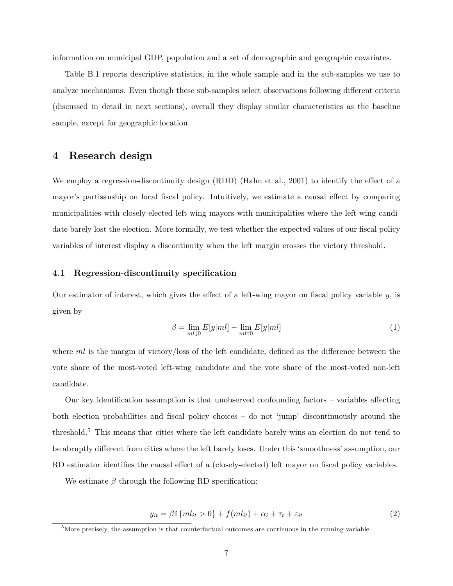information on municipal GDP, population and a set of demographic and geographic covariates.

Table [B.1](#page-28-0) reports descriptive statistics, in the whole sample and in the sub-samples we use to analyze mechanisms. Even though these sub-samples select observations following different criteria (discussed in detail in next sections), overall they display similar characteristics as the baseline sample, except for geographic location.

#### <span id="page-8-2"></span>**4 Research design**

We employ a regression-discontinuity design (RDD) ([Hahn et al.](#page-19-6), [2001](#page-19-6)) to identify the effect of a mayor's partisanship on local fiscal policy. Intuitively, we estimate a causal effect by comparing municipalities with closely-elected left-wing mayors with municipalities where the left-wing candidate barely lost the election. More formally, we test whether the expected values of our fiscal policy variables of interest display a discontinuity when the left margin crosses the victory threshold.

#### **4.1 Regression-discontinuity specification**

Our estimator of interest, which gives the effect of a left-wing mayor on fiscal policy variable  $y$ , is given by

$$
\beta = \lim_{ml \downarrow 0} E[y|ml] - \lim_{ml \uparrow 0} E[y|ml]
$$
\n(1)

where *ml* is the margin of victory/loss of the left candidate, defined as the difference between the vote share of the most-voted left-wing candidate and the vote share of the most-voted non-left candidate.

Our key identification assumption is that unobserved confounding factors – variables affecting both election probabilities and fiscal policy choices – do not 'jump' discontinuously around the threshold.[5](#page-8-0) This means that cities where the left candidate barely wins an election do not tend to be abruptly different from cities where the left barely loses. Under this 'smoothness' assumption, our RD estimator identifies the causal effect of a (closely-elected) left mayor on fiscal policy variables.

We estimate  $\beta$  through the following RD specification:

<span id="page-8-1"></span>
$$
y_{it} = \beta \mathbb{1}\{ml_{it} > 0\} + f(ml_{it}) + \alpha_i + \tau_t + \varepsilon_{it}
$$
\n<sup>(2)</sup>

<span id="page-8-0"></span> $5$ More precisely, the assumption is that counterfactual outcomes are continuous in the running variable.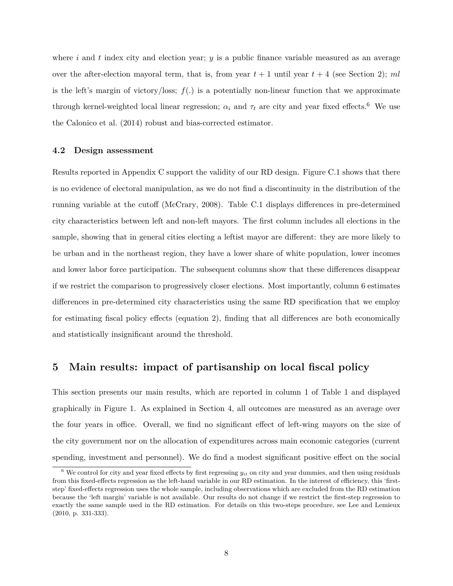where *i* and *t* index city and election year; *y* is a public finance variable measured as an average over the after-election mayoral term, that is, from year  $t + 1$  until year  $t + 4$  (see Section [2](#page-5-1)); ml is the left's margin of victory/loss;  $f(.)$  is a potentially non-linear function that we approximate through kernel-weighted local linear regression;  $\alpha_i$  and  $\tau_t$  are city and year fixed effects.<sup>[6](#page-9-0)</sup> We use the [Calonico et al.](#page-18-8) ([2014](#page-18-8)) robust and bias-corrected estimator.

#### **4.2 Design assessment**

Results reported in Appendix [C](#page-29-0) support the validity of our RD design. Figure [C.1](#page-30-0) shows that there is no evidence of electoral manipulation, as we do not find a discontinuity in the distribution of the running variable at the cutoff ([McCrary](#page-19-7), [2008](#page-19-7)). Table [C.1](#page-29-1) displays differences in pre-determined city characteristics between left and non-left mayors. The first column includes all elections in the sample, showing that in general cities electing a leftist mayor are different: they are more likely to be urban and in the northeast region, they have a lower share of white population, lower incomes and lower labor force participation. The subsequent columns show that these differences disappear if we restrict the comparison to progressively closer elections. Most importantly, column 6 estimates differences in pre-determined city characteristics using the same RD specification that we employ for estimating fiscal policy effects (equation [2\)](#page-8-1), finding that all differences are both economically and statistically insignificant around the threshold.

#### **5 Main results: impact of partisanship on local fiscal policy**

This section presents our main results, which are reported in column 1 of Table [1](#page-25-0) and displayed graphically in Figure [1.](#page-21-0) As explained in Section [4](#page-8-2), all outcomes are measured as an average over the four years in office. Overall, we find no significant effect of left-wing mayors on the size of the city government nor on the allocation of expenditures across main economic categories (current spending, investment and personnel). We do find a modest significant positive effect on the social

<span id="page-9-0"></span> $6$  We control for city and year fixed effects by first regressing  $y_{it}$  on city and year dummies, and then using residuals from this fixed-effects regression as the left-hand variable in our RD estimation. In the interest of efficiency, this 'firststep' fixed-effects regression uses the whole sample, including observations which are excluded from the RD estimation because the 'left margin' variable is not available. Our results do not change if we restrict the first-step regression to exactly the same sample used in the RD estimation. For details on this two-steps procedure, see [Lee and Lemieux](#page-19-8) [\(2010,](#page-19-8) p. 331-333).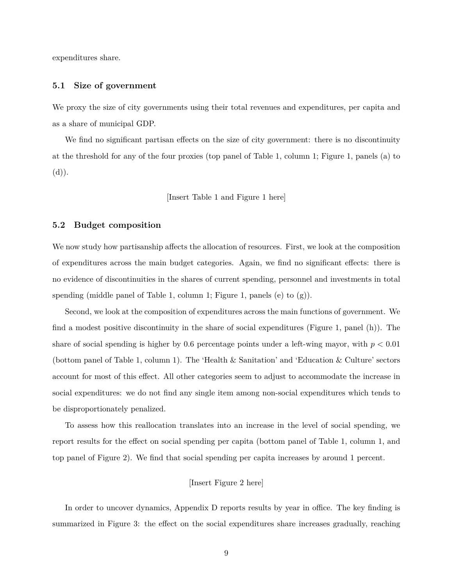expenditures share.

#### **5.1 Size of government**

We proxy the size of city governments using their total revenues and expenditures, per capita and as a share of municipal GDP.

We find no significant partisan effects on the size of city government: there is no discontinuity at the threshold for any of the four proxies (top panel of Table [1,](#page-25-0) column 1; Figure [1](#page-21-0), panels (a) to  $(d)).$ 

[Insert Table [1](#page-25-0) and Figure [1](#page-21-0) here]

#### **5.2 Budget composition**

We now study how partisanship affects the allocation of resources. First, we look at the composition of expenditures across the main budget categories. Again, we find no significant effects: there is no evidence of discontinuities in the shares of current spending, personnel and investments in total spending (middle panel of Table [1,](#page-21-0) column 1; Figure 1, panels  $(e)$  to  $(g)$ ).

Second, we look at the composition of expenditures across the main functions of government. We find a modest positive discontinuity in the share of social expenditures (Figure [1,](#page-21-0) panel (h)). The share of social spending is higher by 0.6 percentage points under a left-wing mayor, with  $p < 0.01$ (bottom panel of Table [1](#page-25-0), column 1). The 'Health & Sanitation' and 'Education & Culture' sectors account for most of this effect. All other categories seem to adjust to accommodate the increase in social expenditures: we do not find any single item among non-social expenditures which tends to be disproportionately penalized.

To assess how this reallocation translates into an increase in the level of social spending, we report results for the effect on social spending per capita (bottom panel of Table [1](#page-25-0), column 1, and top panel of Figure [2\)](#page-22-0). We find that social spending per capita increases by around 1 percent.

#### [Insert Figure [2](#page-22-0) here]

In order to uncover dynamics, Appendix [D](#page-31-0) reports results by year in office. The key finding is summarized in Figure [3](#page-23-0): the effect on the social expenditures share increases gradually, reaching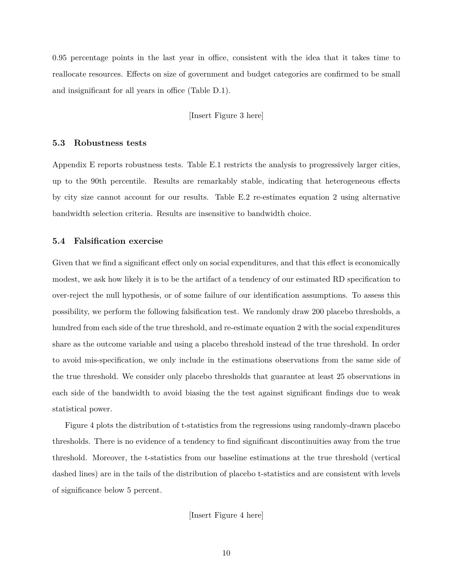0.95 percentage points in the last year in office, consistent with the idea that it takes time to reallocate resources. Effects on size of government and budget categories are confirmed to be small and insignificant for all years in office (Table [D.1\)](#page-31-1).

[Insert Figure [3](#page-23-0) here]

#### **5.3 Robustness tests**

Appendix [E](#page-34-0) reports robustness tests. Table [E.1](#page-34-1) restricts the analysis to progressively larger cities, up to the 90th percentile. Results are remarkably stable, indicating that heterogeneous effects by city size cannot account for our results. Table [E.2](#page-35-0) re-estimates equation [2](#page-8-1) using alternative bandwidth selection criteria. Results are insensitive to bandwidth choice.

#### **5.4 Falsification exercise**

Given that we find a significant effect only on social expenditures, and that this effect is economically modest, we ask how likely it is to be the artifact of a tendency of our estimated RD specification to over-reject the null hypothesis, or of some failure of our identification assumptions. To assess this possibility, we perform the following falsification test. We randomly draw 200 placebo thresholds, a hundred from each side of the true threshold, and re-estimate equation [2](#page-8-1) with the social expenditures share as the outcome variable and using a placebo threshold instead of the true threshold. In order to avoid mis-specification, we only include in the estimations observations from the same side of the true threshold. We consider only placebo thresholds that guarantee at least 25 observations in each side of the bandwidth to avoid biasing the the test against significant findings due to weak statistical power.

Figure [4](#page-24-0) plots the distribution of t-statistics from the regressions using randomly-drawn placebo thresholds. There is no evidence of a tendency to find significant discontinuities away from the true threshold. Moreover, the t-statistics from our baseline estimations at the true threshold (vertical dashed lines) are in the tails of the distribution of placebo t-statistics and are consistent with levels of significance below 5 percent.

[Insert Figure [4](#page-24-0) here]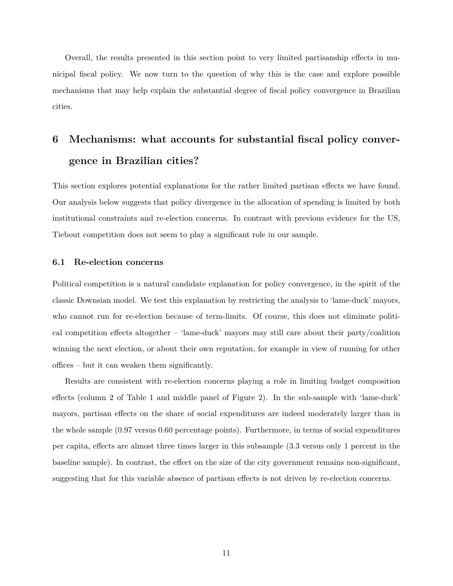Overall, the results presented in this section point to very limited partisanship effects in municipal fiscal policy. We now turn to the question of why this is the case and explore possible mechanisms that may help explain the substantial degree of fiscal policy convergence in Brazilian cities.

## **6 Mechanisms: what accounts for substantial fiscal policy convergence in Brazilian cities?**

This section explores potential explanations for the rather limited partisan effects we have found. Our analysis below suggests that policy divergence in the allocation of spending is limited by both institutional constraints and re-election concerns. In contrast with previous evidence for the US, Tiebout competition does not seem to play a significant role in our sample.

#### **6.1 Re-election concerns**

Political competition is a natural candidate explanation for policy convergence, in the spirit of the classic Downsian model. We test this explanation by restricting the analysis to 'lame-duck' mayors, who cannot run for re-election because of term-limits. Of course, this does not eliminate political competition effects altogether – 'lame-duck' mayors may still care about their party/coalition winning the next election, or about their own reputation, for example in view of running for other offices – but it can weaken them significantly.

Results are consistent with re-election concerns playing a role in limiting budget composition effects (column 2 of Table [1](#page-25-0) and middle panel of Figure [2\)](#page-22-0). In the sub-sample with 'lame-duck' mayors, partisan effects on the share of social expenditures are indeed moderately larger than in the whole sample (0.97 versus 0.60 percentage points). Furthermore, in terms of social expenditures per capita, effects are almost three times larger in this subsample (3.3 versus only 1 percent in the baseline sample). In contrast, the effect on the size of the city government remains non-significant, suggesting that for this variable absence of partisan effects is not driven by re-election concerns.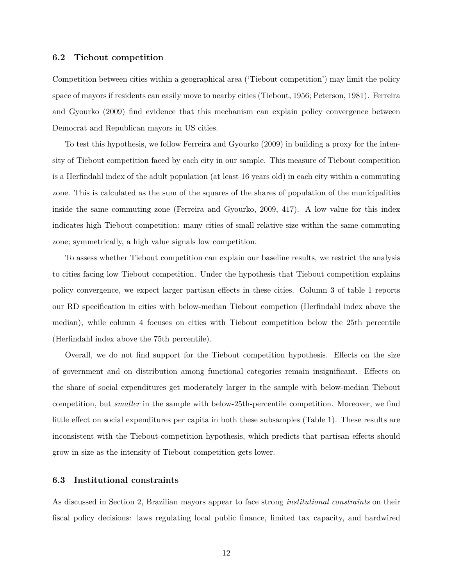#### **6.2 Tiebout competition**

Competition between cities within a geographical area ('Tiebout competition') may limit the policy space of mayors if residents can easily move to nearby cities ([Tiebout,](#page-20-7) [1956](#page-20-7); [Peterson,](#page-19-0) [1981](#page-19-0)). [Ferreira](#page-18-1) [and Gyourko](#page-18-1) [\(2009](#page-18-1)) find evidence that this mechanism can explain policy convergence between Democrat and Republican mayors in US cities.

To test this hypothesis, we follow [Ferreira and Gyourko](#page-18-1) ([2009\)](#page-18-1) in building a proxy for the intensity of Tiebout competition faced by each city in our sample. This measure of Tiebout competition is a Herfindahl index of the adult population (at least 16 years old) in each city within a commuting zone. This is calculated as the sum of the squares of the shares of population of the municipalities inside the same commuting zone ([Ferreira and Gyourko,](#page-18-1) [2009](#page-18-1), 417). A low value for this index indicates high Tiebout competition: many cities of small relative size within the same commuting zone; symmetrically, a high value signals low competition.

To assess whether Tiebout competition can explain our baseline results, we restrict the analysis to cities facing low Tiebout competition. Under the hypothesis that Tiebout competition explains policy convergence, we expect larger partisan effects in these cities. Column 3 of table [1](#page-25-0) reports our RD specification in cities with below-median Tiebout competion (Herfindahl index above the median), while column 4 focuses on cities with Tiebout competition below the 25th percentile (Herfindahl index above the 75th percentile).

Overall, we do not find support for the Tiebout competition hypothesis. Effects on the size of government and on distribution among functional categories remain insignificant. Effects on the share of social expenditures get moderately larger in the sample with below-median Tiebout competition, but *smaller* in the sample with below-25th-percentile competition. Moreover, we find little effect on social expenditures per capita in both these subsamples (Table [1\)](#page-25-0). These results are inconsistent with the Tiebout-competition hypothesis, which predicts that partisan effects should grow in size as the intensity of Tiebout competition gets lower.

#### **6.3 Institutional constraints**

As discussed in Section [2](#page-5-1), Brazilian mayors appear to face strong *institutional constraints* on their fiscal policy decisions: laws regulating local public finance, limited tax capacity, and hardwired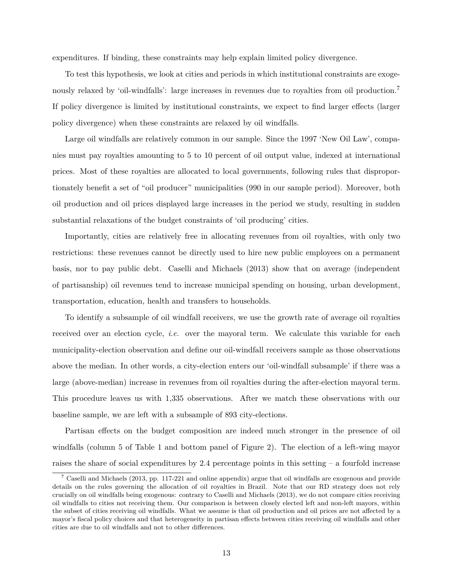expenditures. If binding, these constraints may help explain limited policy divergence.

To test this hypothesis, we look at cities and periods in which institutional constraints are exoge-nously relaxed by 'oil-windfalls': large increases in revenues due to royalties from oil production.<sup>[7](#page-14-0)</sup> If policy divergence is limited by institutional constraints, we expect to find larger effects (larger policy divergence) when these constraints are relaxed by oil windfalls.

Large oil windfalls are relatively common in our sample. Since the 1997 'New Oil Law', companies must pay royalties amounting to 5 to 10 percent of oil output value, indexed at international prices. Most of these royalties are allocated to local governments, following rules that disproportionately benefit a set of "oil producer" municipalities (990 in our sample period). Moreover, both oil production and oil prices displayed large increases in the period we study, resulting in sudden substantial relaxations of the budget constraints of 'oil producing' cities.

Importantly, cities are relatively free in allocating revenues from oil royalties, with only two restrictions: these revenues cannot be directly used to hire new public employees on a permanent basis, nor to pay public debt. [Caselli and Michaels](#page-18-9) [\(2013\)](#page-18-9) show that on average (independent of partisanship) oil revenues tend to increase municipal spending on housing, urban development, transportation, education, health and transfers to households.

To identify a subsample of oil windfall receivers, we use the growth rate of average oil royalties received over an election cycle, *i.e.* over the mayoral term. We calculate this variable for each municipality-election observation and define our oil-windfall receivers sample as those observations above the median. In other words, a city-election enters our 'oil-windfall subsample' if there was a large (above-median) increase in revenues from oil royalties during the after-election mayoral term. This procedure leaves us with 1,335 observations. After we match these observations with our baseline sample, we are left with a subsample of 893 city-elections.

Partisan effects on the budget composition are indeed much stronger in the presence of oil windfalls (column 5 of Table [1](#page-25-0) and bottom panel of Figure [2](#page-22-0)). The election of a left-wing mayor raises the share of social expenditures by 2.4 percentage points in this setting – a fourfold increase

<span id="page-14-0"></span><sup>7</sup> [Caselli and Michaels](#page-18-9) [\(2013](#page-18-9), pp. 117-221 and online appendix) argue that oil windfalls are exogenous and provide details on the rules governing the allocation of oil royalties in Brazil. Note that our RD strategy does not rely crucially on oil windfalls being exogenous: contrary to [Caselli and Michaels](#page-18-9) [\(2013\)](#page-18-9), we do not compare cities receiving oil windfalls to cities not receiving them. Our comparison is between closely elected left and non-left mayors, within the subset of cities receiving oil windfalls. What we assume is that oil production and oil prices are not affected by a mayor's fiscal policy choices and that heterogeneity in partisan effects between cities receiving oil windfalls and other cities are due to oil windfalls and not to other differences.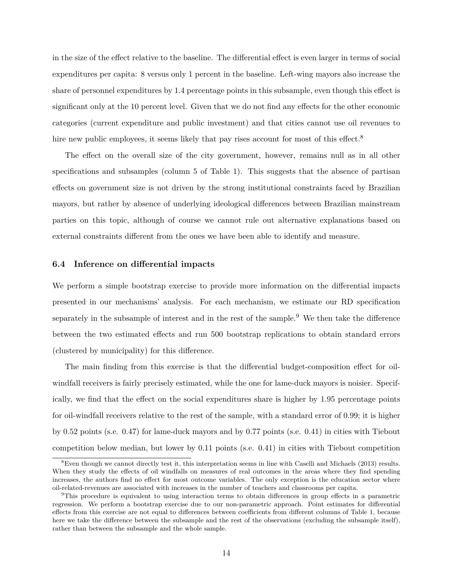in the size of the effect relative to the baseline. The differential effect is even larger in terms of social expenditures per capita: 8 versus only 1 percent in the baseline. Left-wing mayors also increase the share of personnel expenditures by 1.4 percentage points in this subsample, even though this effect is significant only at the 10 percent level. Given that we do not find any effects for the other economic categories (current expenditure and public investment) and that cities cannot use oil revenues to hire new public employees, it seems likely that pay rises account for most of this effect.<sup>[8](#page-15-0)</sup>

The effect on the overall size of the city government, however, remains null as in all other specifications and subsamples (column 5 of Table [1\)](#page-25-0). This suggests that the absence of partisan effects on government size is not driven by the strong institutional constraints faced by Brazilian mayors, but rather by absence of underlying ideological differences between Brazilian mainstream parties on this topic, although of course we cannot rule out alternative explanations based on external constraints different from the ones we have been able to identify and measure.

#### **6.4 Inference on differential impacts**

We perform a simple bootstrap exercise to provide more information on the differential impacts presented in our mechanisms' analysis. For each mechanism, we estimate our RD specification separately in the subsample of interest and in the rest of the sample.<sup>[9](#page-15-1)</sup> We then take the difference between the two estimated effects and run 500 bootstrap replications to obtain standard errors (clustered by municipality) for this difference.

The main finding from this exercise is that the differential budget-composition effect for oilwindfall receivers is fairly precisely estimated, while the one for lame-duck mayors is noisier. Specifically, we find that the effect on the social expenditures share is higher by 1.95 percentage points for oil-windfall receivers relative to the rest of the sample, with a standard error of 0.99; it is higher by 0.52 points (s.e. 0.47) for lame-duck mayors and by 0.77 points (s.e. 0.41) in cities with Tiebout competition below median, but lower by 0.11 points (s.e. 0.41) in cities with Tiebout competition

<span id="page-15-0"></span><sup>8</sup>Even though we cannot directly test it, this interpretation seems in line with [Caselli and Michaels](#page-18-9) [\(2013\)](#page-18-9) results. When they study the effects of oil windfalls on measures of real outcomes in the areas where they find spending increases, the authors find no effect for most outcome variables. The only exception is the education sector where oil-related-revenues are associated with increases in the number of teachers and classrooms per capita.

<span id="page-15-1"></span><sup>9</sup>This procedure is equivalent to using interaction terms to obtain differences in group effects in a parametric regression. We perform a bootstrap exercise due to our non-parametric approach. Point estimates for differential effects from this exercise are not equal to differences between coefficients from different columns of Table [1](#page-25-0), because here we take the difference between the subsample and the rest of the observations (excluding the subsample itself), rather than between the subsample and the whole sample.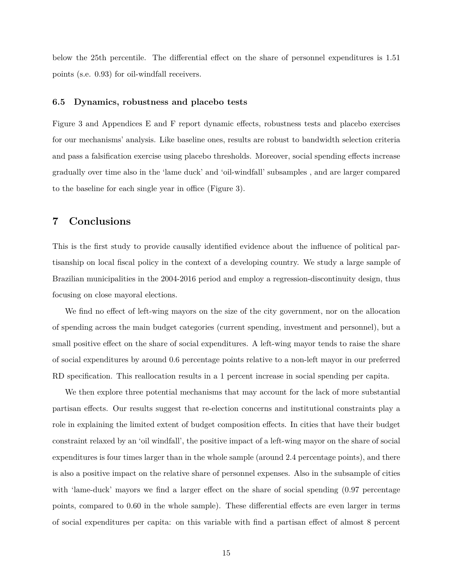below the 25th percentile. The differential effect on the share of personnel expenditures is 1.51 points (s.e. 0.93) for oil-windfall receivers.

#### **6.5 Dynamics, robustness and placebo tests**

Figure [3](#page-23-0) and Appendices [E](#page-34-0) and [F](#page-36-0) report dynamic effects, robustness tests and placebo exercises for our mechanisms' analysis. Like baseline ones, results are robust to bandwidth selection criteria and pass a falsification exercise using placebo thresholds. Moreover, social spending effects increase gradually over time also in the 'lame duck' and 'oil-windfall' subsamples , and are larger compared to the baseline for each single year in office (Figure [3](#page-23-0)).

#### **7 Conclusions**

This is the first study to provide causally identified evidence about the influence of political partisanship on local fiscal policy in the context of a developing country. We study a large sample of Brazilian municipalities in the 2004-2016 period and employ a regression-discontinuity design, thus focusing on close mayoral elections.

We find no effect of left-wing mayors on the size of the city government, nor on the allocation of spending across the main budget categories (current spending, investment and personnel), but a small positive effect on the share of social expenditures. A left-wing mayor tends to raise the share of social expenditures by around 0.6 percentage points relative to a non-left mayor in our preferred RD specification. This reallocation results in a 1 percent increase in social spending per capita.

We then explore three potential mechanisms that may account for the lack of more substantial partisan effects. Our results suggest that re-election concerns and institutional constraints play a role in explaining the limited extent of budget composition effects. In cities that have their budget constraint relaxed by an 'oil windfall', the positive impact of a left-wing mayor on the share of social expenditures is four times larger than in the whole sample (around 2.4 percentage points), and there is also a positive impact on the relative share of personnel expenses. Also in the subsample of cities with 'lame-duck' mayors we find a larger effect on the share of social spending  $(0.97 \text{ percentage})$ points, compared to 0.60 in the whole sample). These differential effects are even larger in terms of social expenditures per capita: on this variable with find a partisan effect of almost 8 percent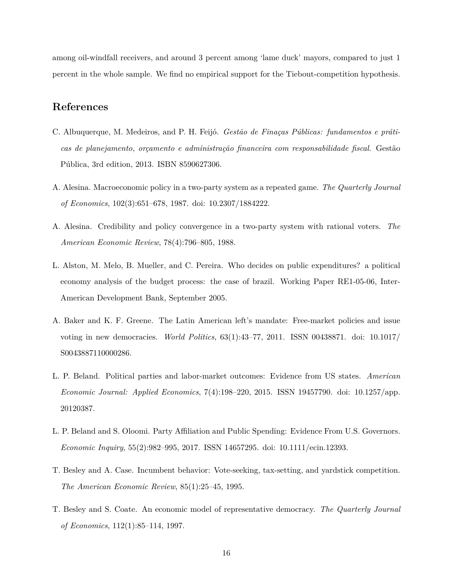among oil-windfall receivers, and around 3 percent among 'lame duck' mayors, compared to just 1 percent in the whole sample. We find no empirical support for the Tiebout-competition hypothesis.

### **References**

- <span id="page-17-7"></span>C. Albuquerque, M. Medeiros, and P. H. Feijó. *Gestão de Finaças Públicas: fundamentos e práticas de planejamento, orçamento e administração financeira com responsabilidade fiscal*. Gestão Pública, 3rd edition, 2013. ISBN 8590627306.
- <span id="page-17-0"></span>A. Alesina. Macroeconomic policy in a two-party system as a repeated game. *The Quarterly Journal of Economics*, 102(3):651–678, 1987. doi: 10.2307/1884222.
- <span id="page-17-1"></span>A. Alesina. Credibility and policy convergence in a two-party system with rational voters. *The American Economic Review*, 78(4):796–805, 1988.
- <span id="page-17-6"></span>L. Alston, M. Melo, B. Mueller, and C. Pereira. Who decides on public expenditures? a political economy analysis of the budget process: the case of brazil. Working Paper RE1-05-06, Inter-American Development Bank, September 2005.
- <span id="page-17-8"></span>A. Baker and K. F. Greene. The Latin American left's mandate: Free-market policies and issue voting in new democracies. *World Politics*, 63(1):43–77, 2011. ISSN 00438871. doi: 10.1017/ S0043887110000286.
- <span id="page-17-5"></span>L. P. Beland. Political parties and labor-market outcomes: Evidence from US states. *American Economic Journal: Applied Economics*, 7(4):198–220, 2015. ISSN 19457790. doi: 10.1257/app. 20120387.
- <span id="page-17-4"></span>L. P. Beland and S. Oloomi. Party Affiliation and Public Spending: Evidence From U.S. Governors. *Economic Inquiry*, 55(2):982–995, 2017. ISSN 14657295. doi: 10.1111/ecin.12393.
- <span id="page-17-3"></span>T. Besley and A. Case. Incumbent behavior: Vote-seeking, tax-setting, and yardstick competition. *The American Economic Review*, 85(1):25–45, 1995.
- <span id="page-17-2"></span>T. Besley and S. Coate. An economic model of representative democracy. *The Quarterly Journal of Economics*, 112(1):85–114, 1997.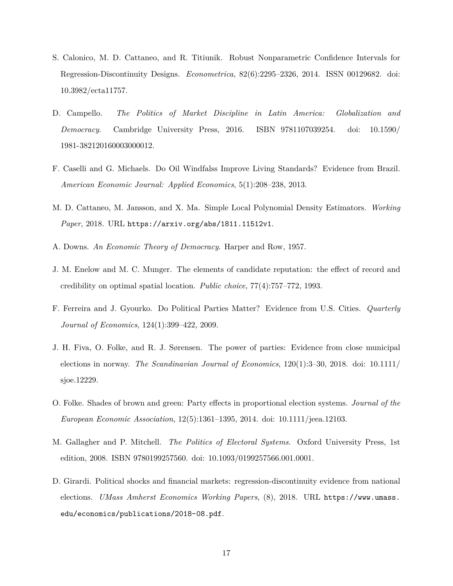- <span id="page-18-8"></span>S. Calonico, M. D. Cattaneo, and R. Titiunik. Robust Nonparametric Confidence Intervals for Regression-Discontinuity Designs. *Econometrica*, 82(6):2295–2326, 2014. ISSN 00129682. doi: 10.3982/ecta11757.
- <span id="page-18-4"></span>D. Campello. *The Politics of Market Discipline in Latin America: Globalization and Democracy*. Cambridge University Press, 2016. ISBN 9781107039254. doi: 10.1590/ 1981-382120160003000012.
- <span id="page-18-9"></span>F. Caselli and G. Michaels. Do Oil Windfalss Improve Living Standards? Evidence from Brazil. *American Economic Journal: Applied Economics*, 5(1):208–238, 2013.
- <span id="page-18-10"></span>M. D. Cattaneo, M. Jansson, and X. Ma. Simple Local Polynomial Density Estimators. *Working Paper*, 2018. URL <https://arxiv.org/abs/1811.11512v1>.
- <span id="page-18-0"></span>A. Downs. *An Economic Theory of Democracy*. Harper and Row, 1957.
- <span id="page-18-3"></span>J. M. Enelow and M. C. Munger. The elements of candidate reputation: the effect of record and credibility on optimal spatial location. *Public choice*, 77(4):757–772, 1993.
- <span id="page-18-1"></span>F. Ferreira and J. Gyourko. Do Political Parties Matter? Evidence from U.S. Cities. *Quarterly Journal of Economics*, 124(1):399–422, 2009.
- <span id="page-18-2"></span>J. H. Fiva, O. Folke, and R. J. Sørensen. The power of parties: Evidence from close municipal elections in norway. *The Scandinavian Journal of Economics*, 120(1):3–30, 2018. doi: 10.1111/ sjoe.12229.
- <span id="page-18-5"></span>O. Folke. Shades of brown and green: Party effects in proportional election systems. *Journal of the European Economic Association*, 12(5):1361–1395, 2014. doi: 10.1111/jeea.12103.
- <span id="page-18-7"></span>M. Gallagher and P. Mitchell. *The Politics of Electoral Systems*. Oxford University Press, 1st edition, 2008. ISBN 9780199257560. doi: 10.1093/0199257566.001.0001.
- <span id="page-18-6"></span>D. Girardi. Political shocks and financial markets: regression-discontinuity evidence from national elections. *UMass Amherst Economics Working Papers*, (8), 2018. URL [https://www.umass.](https://www.umass.edu/economics/publications/2018-08.pdf) [edu/economics/publications/2018-08.pdf](https://www.umass.edu/economics/publications/2018-08.pdf).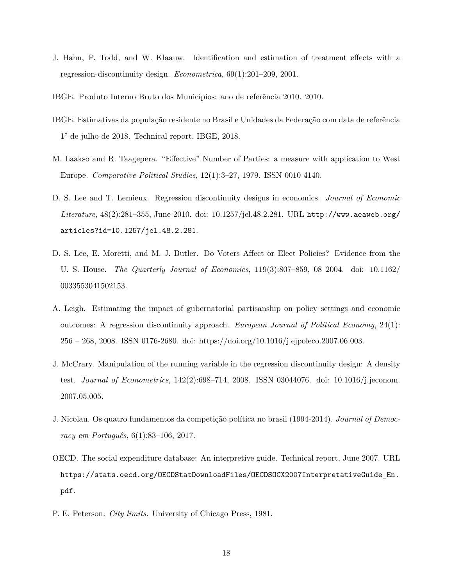- <span id="page-19-6"></span>J. Hahn, P. Todd, and W. Klaauw. Identification and estimation of treatment effects with a regression-discontinuity design. *Econometrica*, 69(1):201–209, 2001.
- <span id="page-19-9"></span>IBGE. Produto Interno Bruto dos Municípios: ano de referência 2010. 2010.
- <span id="page-19-10"></span>IBGE. Estimativas da população residente no Brasil e Unidades da Federação com data de referência 1° de julho de 2018. Technical report, IBGE, 2018.
- <span id="page-19-4"></span>M. Laakso and R. Taagepera. "Effective" Number of Parties: a measure with application to West Europe. *Comparative Political Studies*, 12(1):3–27, 1979. ISSN 0010-4140.
- <span id="page-19-8"></span>D. S. Lee and T. Lemieux. Regression discontinuity designs in economics. *Journal of Economic Literature*, 48(2):281–355, June 2010. doi: 10.1257/jel.48.2.281. URL [http://www.aeaweb.org/](http://www.aeaweb.org/articles?id=10.1257/jel.48.2.281) [articles?id=10.1257/jel.48.2.281](http://www.aeaweb.org/articles?id=10.1257/jel.48.2.281).
- <span id="page-19-1"></span>D. S. Lee, E. Moretti, and M. J. Butler. Do Voters Affect or Elect Policies? Evidence from the U. S. House. *The Quarterly Journal of Economics*, 119(3):807–859, 08 2004. doi: 10.1162/ 0033553041502153.
- <span id="page-19-2"></span>A. Leigh. Estimating the impact of gubernatorial partisanship on policy settings and economic outcomes: A regression discontinuity approach. *European Journal of Political Economy*, 24(1): 256 – 268, 2008. ISSN 0176-2680. doi: https://doi.org/10.1016/j.ejpoleco.2007.06.003.
- <span id="page-19-7"></span>J. McCrary. Manipulation of the running variable in the regression discontinuity design: A density test. *Journal of Econometrics*, 142(2):698–714, 2008. ISSN 03044076. doi: 10.1016/j.jeconom. 2007.05.005.
- <span id="page-19-3"></span>J. Nicolau. Os quatro fundamentos da competição política no brasil (1994-2014). *Journal of Democracy em Português*, 6(1):83–106, 2017.
- <span id="page-19-5"></span>OECD. The social expenditure database: An interpretive guide. Technical report, June 2007. URL [https://stats.oecd.org/OECDStatDownloadFiles/OECDSOCX2007InterpretativeGuide\\_En.](https://stats.oecd.org/OECDStatDownloadFiles/OECDSOCX2007InterpretativeGuide_En.pdf) [pdf](https://stats.oecd.org/OECDStatDownloadFiles/OECDSOCX2007InterpretativeGuide_En.pdf).
- <span id="page-19-0"></span>P. E. Peterson. *City limits*. University of Chicago Press, 1981.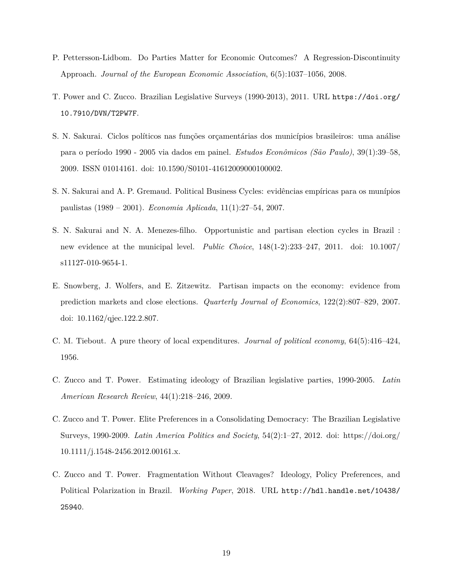- <span id="page-20-0"></span>P. Pettersson-Lidbom. Do Parties Matter for Economic Outcomes? A Regression-Discontinuity Approach. *Journal of the European Economic Association*, 6(5):1037–1056, 2008.
- <span id="page-20-9"></span>T. Power and C. Zucco. Brazilian Legislative Surveys (1990-2013), 2011. URL [https://doi.org/](https://doi.org/10.7910/DVN/T2PW7F) [10.7910/DVN/T2PW7F](https://doi.org/10.7910/DVN/T2PW7F).
- <span id="page-20-3"></span>S. N. Sakurai. Ciclos políticos nas funções orçamentárias dos municípios brasileiros: uma análise para o período 1990 - 2005 via dados em painel. *Estudos Econômicos (São Paulo)*, 39(1):39–58, 2009. ISSN 01014161. doi: 10.1590/S0101-41612009000100002.
- <span id="page-20-5"></span>S. N. Sakurai and A. P. Gremaud. Political Business Cycles: evidências empíricas para os munípios paulistas (1989 – 2001). *Economia Aplicada*, 11(1):27–54, 2007.
- <span id="page-20-4"></span>S. N. Sakurai and N. A. Menezes-filho. Opportunistic and partisan election cycles in Brazil : new evidence at the municipal level. *Public Choice*, 148(1-2):233–247, 2011. doi: 10.1007/ s11127-010-9654-1.
- <span id="page-20-2"></span>E. Snowberg, J. Wolfers, and E. Zitzewitz. Partisan impacts on the economy: evidence from prediction markets and close elections. *Quarterly Journal of Economics*, 122(2):807–829, 2007. doi: 10.1162/qjec.122.2.807.
- <span id="page-20-7"></span>C. M. Tiebout. A pure theory of local expenditures. *Journal of political economy*, 64(5):416–424, 1956.
- <span id="page-20-6"></span>C. Zucco and T. Power. Estimating ideology of Brazilian legislative parties, 1990-2005. *Latin American Research Review*, 44(1):218–246, 2009.
- <span id="page-20-8"></span>C. Zucco and T. Power. Elite Preferences in a Consolidating Democracy: The Brazilian Legislative Surveys, 1990-2009. *Latin America Politics and Society*, 54(2):1–27, 2012. doi: https://doi.org/ 10.1111/j.1548-2456.2012.00161.x.
- <span id="page-20-1"></span>C. Zucco and T. Power. Fragmentation Without Cleavages? Ideology, Policy Preferences, and Political Polarization in Brazil. *Working Paper*, 2018. URL [http://hdl.handle.net/10438/](http://hdl.handle.net/10438/25940) [25940](http://hdl.handle.net/10438/25940).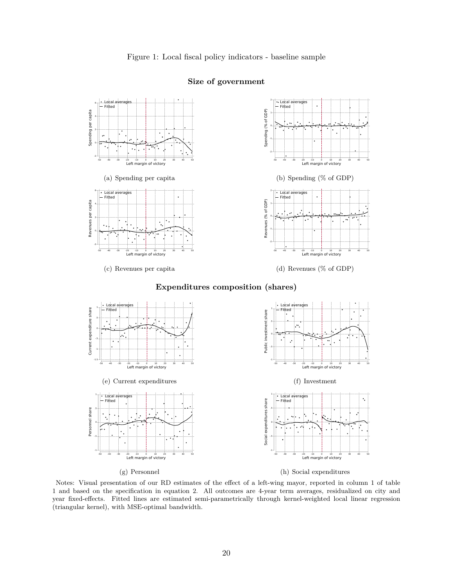

#### **Size of government**

(g) Personnel

<span id="page-21-0"></span>(h) Social expenditures

Notes: Visual presentation of our RD estimates of the effect of a left-wing mayor, reported in column 1 of table [1](#page-25-0) and based on the specification in equation [2](#page-8-1). All outcomes are 4-year term averages, residualized on city and year fixed-effects. Fitted lines are estimated semi-parametrically through kernel-weighted local linear regression (triangular kernel), with MSE-optimal bandwidth.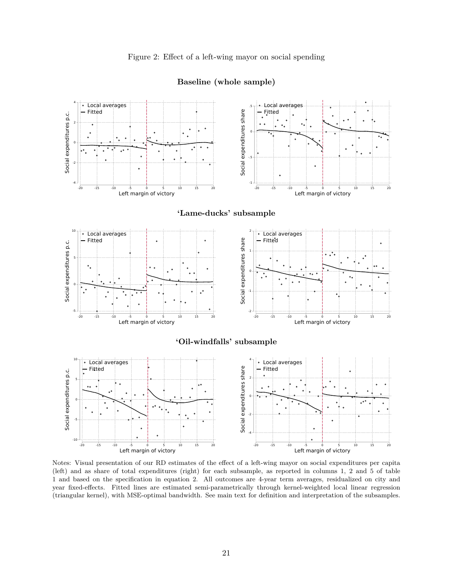<span id="page-22-0"></span>

**Baseline (whole sample)**

Notes: Visual presentation of our RD estimates of the effect of a left-wing mayor on social expenditures per capita (left) and as share of total expenditures (right) for each subsample, as reported in columns 1, 2 and 5 of table [1](#page-25-0) and based on the specification in equation [2](#page-8-1). All outcomes are 4-year term averages, residualized on city and year fixed-effects. Fitted lines are estimated semi-parametrically through kernel-weighted local linear regression (triangular kernel), with MSE-optimal bandwidth. See main text for definition and interpretation of the subsamples.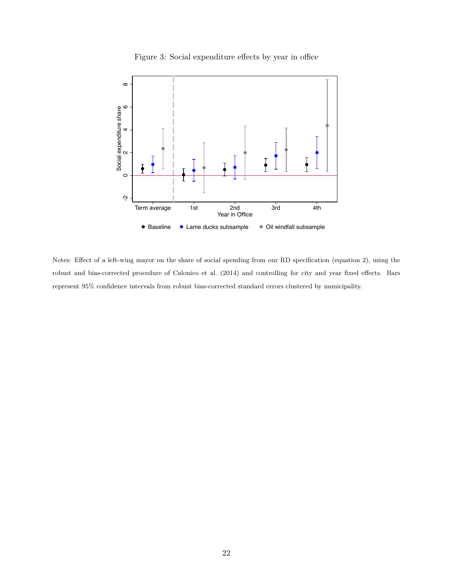

<span id="page-23-0"></span>

Notes: Effect of a left-wing mayor on the share of social spending from our RD specification (equation [2\)](#page-8-1), using the robust and bias-corrected procedure of [Calonico et al.](#page-18-8) [\(2014\)](#page-18-8) and controlling for city and year fixed effects. Bars represent 95% confidence intervals from robust bias-corrected standard errors clustered by municipality.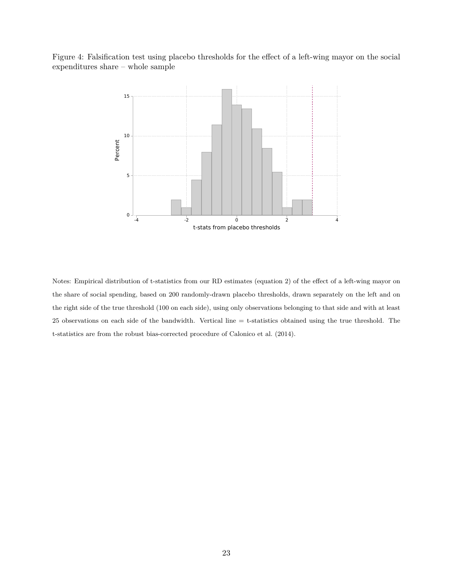<span id="page-24-0"></span>Figure 4: Falsification test using placebo thresholds for the effect of a left-wing mayor on the social expenditures share – whole sample



Notes: Empirical distribution of t-statistics from our RD estimates (equation [2\)](#page-8-1) of the effect of a left-wing mayor on the share of social spending, based on 200 randomly-drawn placebo thresholds, drawn separately on the left and on the right side of the true threshold (100 on each side), using only observations belonging to that side and with at least 25 observations on each side of the bandwidth. Vertical line = t-statistics obtained using the true threshold. The t-statistics are from the robust bias-corrected procedure of [Calonico et al.](#page-18-8) [\(2014\)](#page-18-8).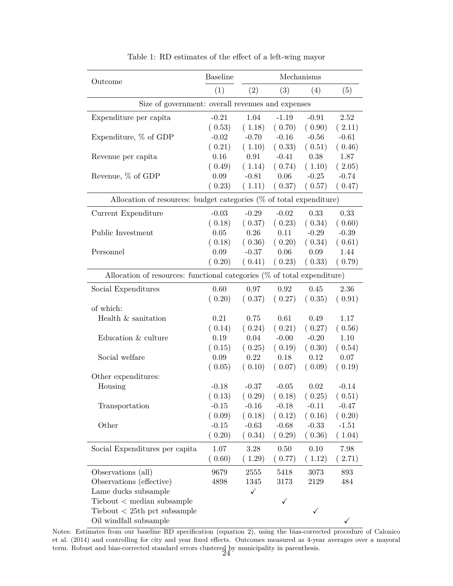<span id="page-25-0"></span>

| Outcome                                                                    | <b>Baseline</b> | Mechanisms |              |              |         |  |  |
|----------------------------------------------------------------------------|-----------------|------------|--------------|--------------|---------|--|--|
|                                                                            | (1)             | (2)        | (3)          | (4)          | (5)     |  |  |
| Size of government: overall revenues and expenses                          |                 |            |              |              |         |  |  |
| Expenditure per capita                                                     | $-0.21$         | 1.04       | $-1.19$      | $-0.91$      | 2.52    |  |  |
|                                                                            | (0.53)          | (1.18)     | (0.70)       | (0.90)       | (2.11)  |  |  |
| Expenditure, $%$ of GDP                                                    | $-0.02$         | $-0.70$    | $-0.16$      | $-0.56$      | $-0.61$ |  |  |
|                                                                            | (0.21)          | (1.10)     | (0.33)       | (0.51)       | (0.46)  |  |  |
| Revenue per capita                                                         | 0.16            | 0.91       | $-0.41$      | 0.38         | 1.87    |  |  |
|                                                                            | (0.49)          | (1.14)     | (0.74)       | (1.10)       | (2.05)  |  |  |
| Revenue, % of GDP                                                          | 0.09            | $-0.81$    | 0.06         | $-0.25$      | $-0.74$ |  |  |
|                                                                            | (0.23)          | (1.11)     | (0.37)       | (0.57)       | (0.47)  |  |  |
| Allocation of resources: budget categories $(\%$ of total expenditure)     |                 |            |              |              |         |  |  |
| Current Expenditure                                                        | $-0.03$         | $-0.29$    | $-0.02$      | 0.33         | 0.33    |  |  |
|                                                                            | (0.18)          | (0.37)     | (0.23)       | (0.34)       | (0.60)  |  |  |
| Public Investment                                                          | $0.05\,$        | 0.26       | 0.11         | $-0.29$      | $-0.39$ |  |  |
|                                                                            | (0.18)          | (0.36)     | (0.20)       | (0.34)       | (0.61)  |  |  |
| Personnel                                                                  | 0.09            | $-0.37$    | 0.06         | 0.09         | 1.44    |  |  |
|                                                                            | (0.20)          | (0.41)     | (0.23)       | (0.33)       | (0.79)  |  |  |
| Allocation of resources: functional categories $(\%$ of total expenditure) |                 |            |              |              |         |  |  |
| Social Expenditures                                                        | 0.60            | 0.97       | 0.92         | 0.45         | 2.36    |  |  |
|                                                                            | (0.20)          | (0.37)     | (0.27)       | (0.35)       | (0.91)  |  |  |
| of which:                                                                  |                 |            |              |              |         |  |  |
| Health & sanitation                                                        | 0.21            | 0.75       | 0.61         | 0.49         | 1.17    |  |  |
|                                                                            | (0.14)          | (0.24)     | (0.21)       | (0.27)       | (0.56)  |  |  |
| Education & culture                                                        | 0.19            | 0.04       | $-0.00$      | $-0.20$      | 1.10    |  |  |
|                                                                            | (0.15)          | (0.25)     | (0.19)       | (0.30)       | (0.54)  |  |  |
| Social welfare                                                             | 0.09            | 0.22       | 0.18         | 0.12         | 0.07    |  |  |
|                                                                            | (0.05)          | (0.10)     | (0.07)       | (0.09)       | (0.19)  |  |  |
| Other expenditures:                                                        |                 |            |              |              |         |  |  |
| Housing                                                                    | $-0.18$         | $-0.37$    | $-0.05$      | 0.02         | $-0.14$ |  |  |
|                                                                            | (0.13)          | (0.29)     | (0.18)       | (0.25)       | (0.51)  |  |  |
| Transportation                                                             | $-0.15$         | $-0.16$    | $-0.18$      | $-0.11$      | $-0.47$ |  |  |
|                                                                            | (0.09)          | (0.18)     | (0.12)       | (0.16)       | (0.20)  |  |  |
| Other                                                                      | $-0.15$         | $-0.63$    | $-0.68$      | $-0.33$      | $-1.51$ |  |  |
|                                                                            | (0.20)          | (0.34)     | (0.29)       | (0.36)       | (1.04)  |  |  |
| Social Expenditures per capita                                             | 1.07            | 3.28       | 0.50         | 0.10         | 7.98    |  |  |
|                                                                            | (0.60)          | (1.29)     | (0.77)       | (1.12)       | (2.71)  |  |  |
| Observations (all)                                                         | 9679            | 2555       | 5418         | 3073         | 893     |  |  |
| Observations (effective)                                                   | 4898            | 1345       | 3173         | 2129         | 484     |  |  |
| Lame ducks subsample                                                       |                 | ✓          |              |              |         |  |  |
| $Tiebout <$ median subsample                                               |                 |            | $\checkmark$ |              |         |  |  |
| $Tiebout < 25th$ pct subsample                                             |                 |            |              | $\checkmark$ |         |  |  |
| Oil windfall subsample                                                     |                 |            |              |              | ✓       |  |  |

Table 1: RD estimates of the effect of a left-wing mayor

Notes: Estimates from our baseline RD specification (equation [2](#page-8-1)), using the bias-corrected procedure of [Calonico](#page-18-8) [et al.](#page-18-8) [\(2014\)](#page-18-8) and controlling for city and year fixed effects. Outcomes measured as 4-year averages over a mayoral term. Robust and bias-corrected standard errors clustered by municipality in parenthesis.  $24$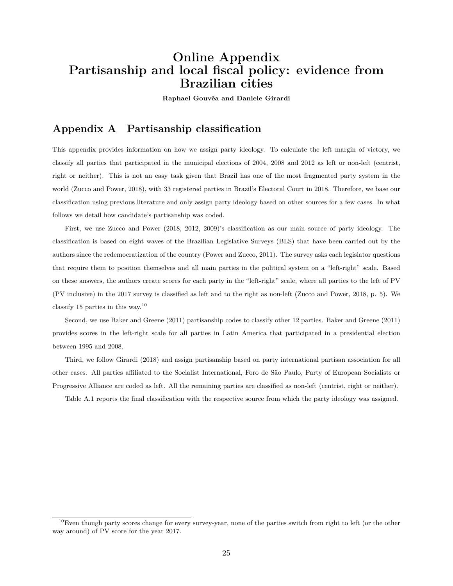## **Online Appendix Partisanship and local fiscal policy: evidence from Brazilian cities**

**Raphael Gouvêa and Daniele Girardi**

#### <span id="page-26-0"></span>**Appendix A Partisanship classification**

This appendix provides information on how we assign party ideology. To calculate the left margin of victory, we classify all parties that participated in the municipal elections of 2004, 2008 and 2012 as left or non-left (centrist, right or neither). This is not an easy task given that Brazil has one of the most fragmented party system in the world ([Zucco and Power](#page-20-1), [2018\)](#page-20-1), with 33 registered parties in Brazil's Electoral Court in 2018. Therefore, we base our classification using previous literature and only assign party ideology based on other sources for a few cases. In what follows we detail how candidate's partisanship was coded.

First, we use [Zucco and Power](#page-20-1) ([2018](#page-20-1), [2012](#page-20-8), [2009\)](#page-20-6)'s classification as our main source of party ideology. The classification is based on eight waves of the Brazilian Legislative Surveys (BLS) that have been carried out by the authors since the redemocratization of the country ([Power and Zucco,](#page-20-9) [2011\)](#page-20-9). The survey asks each legislator questions that require them to position themselves and all main parties in the political system on a "left-right" scale. Based on these answers, the authors create scores for each party in the "left-right" scale, where all parties to the left of PV (PV inclusive) in the 2017 survey is classified as left and to the right as non-left ([Zucco and Power](#page-20-1), [2018](#page-20-1), p. 5). We classify 15 parties in this way.<sup>[10](#page-26-1)</sup>

Second, we use [Baker and Greene](#page-17-8) [\(2011\)](#page-17-8) partisanship codes to classify other 12 parties. [Baker and Greene](#page-17-8) [\(2011\)](#page-17-8) provides scores in the left-right scale for all parties in Latin America that participated in a presidential election between 1995 and 2008.

Third, we follow [Girardi](#page-18-6) [\(2018\)](#page-18-6) and assign partisanship based on party international partisan association for all other cases. All parties affiliated to the Socialist International, Foro de São Paulo, Party of European Socialists or Progressive Alliance are coded as left. All the remaining parties are classified as non-left (centrist, right or neither).

Table [A.1](#page-27-0) reports the final classification with the respective source from which the party ideology was assigned.

<span id="page-26-1"></span> $10$ Even though party scores change for every survey-year, none of the parties switch from right to left (or the other way around) of PV score for the year 2017.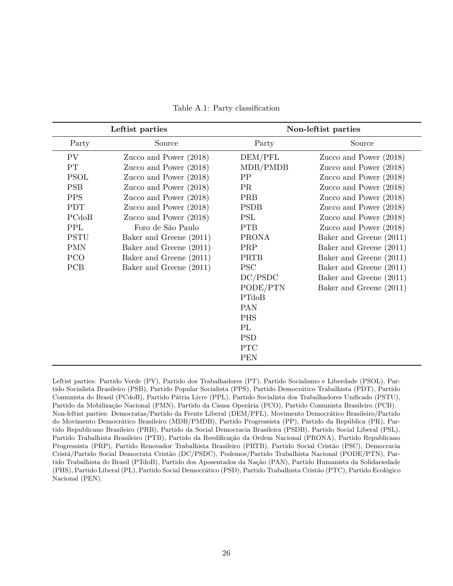<span id="page-27-0"></span>

|             | Leftist parties          | Non-leftist parties |                          |  |  |  |
|-------------|--------------------------|---------------------|--------------------------|--|--|--|
| Party       | Source                   | Party               | Source                   |  |  |  |
| PV.         | Zucco and Power $(2018)$ | DEM/PFL             | Zucco and Power $(2018)$ |  |  |  |
| PT          | Zucco and Power (2018)   | MDB/PMDB            | Zucco and Power (2018)   |  |  |  |
| <b>PSOL</b> | Zucco and Power (2018)   | PP                  | Zucco and Power (2018)   |  |  |  |
| <b>PSB</b>  | Zucco and Power (2018)   | <b>PR</b>           | Zucco and Power (2018)   |  |  |  |
| <b>PPS</b>  | Zucco and Power (2018)   | <b>PRB</b>          | Zucco and Power (2018)   |  |  |  |
| <b>PDT</b>  | Zucco and Power (2018)   | <b>PSDB</b>         | Zucco and Power $(2018)$ |  |  |  |
| PCdoB       | Zucco and Power (2018)   | PSL                 | Zucco and Power (2018)   |  |  |  |
| PPL         | Foro de São Paulo        | <b>PTB</b>          | Zucco and Power $(2018)$ |  |  |  |
| <b>PSTU</b> | Baker and Greene (2011)  | <b>PRONA</b>        | Baker and Greene (2011)  |  |  |  |
| <b>PMN</b>  | Baker and Greene (2011)  | PRP                 | Baker and Greene (2011)  |  |  |  |
| PCO         | Baker and Greene (2011)  | <b>PRTB</b>         | Baker and Greene (2011)  |  |  |  |
| <b>PCB</b>  | Baker and Greene (2011)  | <b>PSC</b>          | Baker and Greene (2011)  |  |  |  |
|             |                          | DC/PSDC             | Baker and Greene (2011)  |  |  |  |
|             |                          | PODE/PTN            | Baker and Greene (2011)  |  |  |  |
|             |                          | PTdoB               |                          |  |  |  |
|             |                          | PAN                 |                          |  |  |  |
|             |                          | <b>PHS</b>          |                          |  |  |  |
|             |                          | PL                  |                          |  |  |  |
|             |                          | <b>PSD</b>          |                          |  |  |  |
|             |                          | <b>PTC</b>          |                          |  |  |  |
|             |                          | <b>PEN</b>          |                          |  |  |  |

Table A.1: Party classification

Leftist parties: Partido Verde (PV), Partido dos Trabalhadores (PT), Partido Socialismo e Liberdade (PSOL), Partido Socialista Brasileiro (PSB), Partido Popular Socialista (PPS), Partido Democrático Trabalhista (PDT), Partido Comunista do Brasil (PCdoB), Partido Pátria Livre (PPL), Partido Socialista dos Trabalhadores Unificado (PSTU), Partido da Mobilização Nacional (PMN), Partido da Causa Operária (PCO), Partido Comunista Brasileiro (PCB). Non-leftist parties: Democratas/Partido da Frente Liberal (DEM/PFL), Movimento Democrático Brasileiro/Partido do Movimento Democrático Brasileiro (MDB/PMDB), Partido Progressista (PP), Partido da República (PR), Partido Republicano Brasileiro (PRB), Partido da Social Democracia Brasileira (PSDB), Partido Social Liberal (PSL), Partido Trabalhista Brasileiro (PTB), Partido da Reedificação da Ordem Nacional (PRONA), Partido Republicano Progressista (PRP), Partido Renovador Trabalhista Brasileiro (PRTB), Partido Social Cristão (PSC), Democracia Cristã/Partido Social Democrata Cristão (DC/PSDC), Podemos/Partido Trabalhista Nacional (PODE/PTN), Partido Trabalhista do Brasil (PTdoB), Partido dos Aposentados da Nação (PAN), Partido Humanista da Solidariedade (PHS), Partido Liberal (PL), Partido Social Democrático (PSD), Partido Trabalhista Cristão (PTC), Partido Ecológico Nacional (PEN).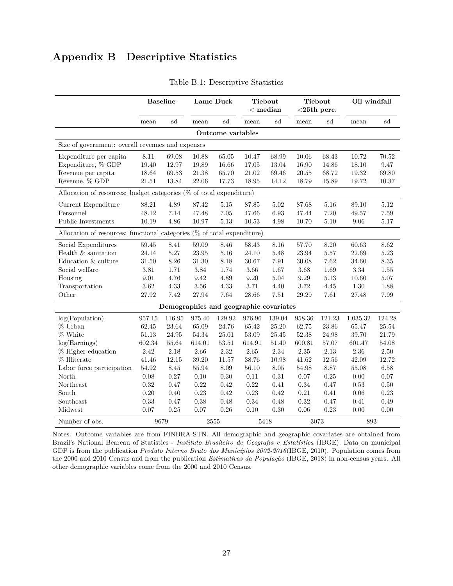## **Appendix B Descriptive Statistics**

<span id="page-28-0"></span>

|                                                                            | <b>Baseline</b> |          |                                        | Lame Duck         |          | <b>Tiebout</b><br>$<$ median |        | <b>Tiebout</b><br>$<$ 25th perc. |          | Oil windfall |  |
|----------------------------------------------------------------------------|-----------------|----------|----------------------------------------|-------------------|----------|------------------------------|--------|----------------------------------|----------|--------------|--|
|                                                                            | mean            | sd       | mean                                   | sd                | mean     | sd                           | mean   | sd                               | mean     | sd           |  |
|                                                                            |                 |          |                                        | Outcome variables |          |                              |        |                                  |          |              |  |
| Size of government: overall revenues and expenses                          |                 |          |                                        |                   |          |                              |        |                                  |          |              |  |
| Expenditure per capita                                                     | 8.11            | 69.08    | 10.88                                  | 65.05             | 10.47    | 68.99                        | 10.06  | 68.43                            | 10.72    | 70.52        |  |
| Expenditure, % GDP                                                         | 19.40           | 12.97    | 19.89                                  | 16.66             | 17.05    | 13.04                        | 16.90  | 14.86                            | 18.10    | 9.47         |  |
| Revenue per capita                                                         | 18.64           | 69.53    | 21.38                                  | 65.70             | 21.02    | 69.46                        | 20.55  | 68.72                            | 19.32    | 69.80        |  |
| Revenue, % GDP                                                             | 21.51           | 13.84    | 22.06                                  | 17.73             | 18.95    | 14.12                        | 18.79  | 15.89                            | 19.72    | 10.37        |  |
| Allocation of resources: budget categories (% of total expenditure)        |                 |          |                                        |                   |          |                              |        |                                  |          |              |  |
| Current Expenditure                                                        | 88.21           | 4.89     | 87.42                                  | 5.15              | 87.85    | 5.02                         | 87.68  | 5.16                             | 89.10    | 5.12         |  |
| Personnel                                                                  | 48.12           | 7.14     | 47.48                                  | $7.05\,$          | 47.66    | 6.93                         | 47.44  | 7.20                             | 49.57    | 7.59         |  |
| Public Investments                                                         | 10.19           | 4.86     | 10.97                                  | 5.13              | 10.53    | 4.98                         | 10.70  | 5.10                             | 9.06     | 5.17         |  |
| Allocation of resources: functional categories $(\%$ of total expenditure) |                 |          |                                        |                   |          |                              |        |                                  |          |              |  |
| Social Expenditures                                                        | 59.45           | 8.41     | 59.09                                  | 8.46              | 58.43    | 8.16                         | 57.70  | 8.20                             | 60.63    | 8.62         |  |
| Health & sanitation                                                        | 24.14           | 5.27     | 23.95                                  | 5.16              | 24.10    | 5.48                         | 23.94  | 5.57                             | 22.69    | 5.23         |  |
| Education & culture                                                        | 31.50           | $8.26\,$ | 31.30                                  | 8.18              | 30.67    | 7.91                         | 30.08  | 7.62                             | 34.60    | $8.35\,$     |  |
| Social welfare                                                             | 3.81            | 1.71     | 3.84                                   | 1.74              | 3.66     | 1.67                         | 3.68   | 1.69                             | $\!3.34$ | 1.55         |  |
| Housing                                                                    | 9.01            | 4.76     | 9.42                                   | 4.89              | 9.20     | 5.04                         | 9.29   | 5.13                             | 10.60    | 5.07         |  |
| Transportation                                                             | 3.62            | 4.33     | $3.56\,$                               | $4.33\,$          | $3.71\,$ | 4.40                         | 3.72   | 4.45                             | 1.30     | 1.88         |  |
| Other                                                                      | 27.92           | 7.42     | 27.94                                  | $7.64\,$          | 28.66    | 7.51                         | 29.29  | 7.61                             | 27.48    | 7.99         |  |
|                                                                            |                 |          | Demographics and geographic covariates |                   |          |                              |        |                                  |          |              |  |
| log(Population)                                                            | 957.15          | 116.95   | 975.40                                 | 129.92            | 976.96   | 139.04                       | 958.36 | 121.23                           | 1,035.32 | 124.28       |  |
| % Urban                                                                    | 62.45           | 23.64    | 65.09                                  | 24.76             | 65.42    | 25.20                        | 62.75  | 23.86                            | 65.47    | 25.54        |  |
| % White                                                                    | 51.13           | 24.95    | 54.34                                  | 25.01             | 53.09    | 25.45                        | 52.38  | 24.98                            | 39.70    | 21.79        |  |
| log(Earnings)                                                              | 602.34          | 55.64    | 614.01                                 | 53.51             | 614.91   | 51.40                        | 600.81 | 57.07                            | 601.47   | 54.08        |  |
| % Higher education                                                         | 2.42            | 2.18     | 2.66                                   | $2.32\,$          | 2.65     | $2.34\,$                     | 2.35   | 2.13                             | 2.36     | 2.50         |  |
| % Illiterate                                                               | 41.46           | 12.15    | 39.20                                  | 11.57             | 38.76    | 10.98                        | 41.62  | 12.56                            | 42.09    | 12.72        |  |
| Labor force participation                                                  | 54.92           | 8.45     | 55.94                                  | 8.09              | 56.10    | $8.05\,$                     | 54.98  | 8.87                             | 55.08    | 6.58         |  |
| North                                                                      | 0.08            | 0.27     | 0.10                                   | 0.30              | 0.11     | 0.31                         | 0.07   | 0.25                             | 0.00     | 0.07         |  |
| Northeast                                                                  | 0.32            | 0.47     | 0.22                                   | 0.42              | 0.22     | 0.41                         | 0.34   | 0.47                             | 0.53     | 0.50         |  |
| South                                                                      | 0.20            | 0.40     | 0.23                                   | 0.42              | 0.23     | 0.42                         | 0.21   | 0.41                             | 0.06     | 0.23         |  |
| Southeast                                                                  | 0.33            | 0.47     | 0.38                                   | $0.48\,$          | 0.34     | 0.48                         | 0.32   | 0.47                             | 0.41     | 0.49         |  |
| Midwest                                                                    | 0.07            | 0.25     | 0.07                                   | $\rm 0.26$        | 0.10     | 0.30                         | 0.06   | 0.23                             | 0.00     | 0.00         |  |
| Number of obs.                                                             | 9679            |          |                                        | 2555              |          | 5418                         |        | 3073                             |          | 893          |  |

Table B.1: Descriptive Statistics

Notes: Outcome variables are from FINBRA-STN. All demographic and geographic covariates are obtained from Brazil's National Beareau of Statistics - *Instituto Brasileiro de Geografia e Estatística* (IBGE). Data on municipal GDP is from the publication *Produto Interno Bruto dos Municípios 2002-2016*[\(IBGE](#page-19-9), [2010](#page-19-9)). Population comes from the 2000 and 2010 Census and from the publication *Estimativas da População* [\(IBGE](#page-19-10), [2018](#page-19-10)) in non-census years. All other demographic variables come from the 2000 and 2010 Census.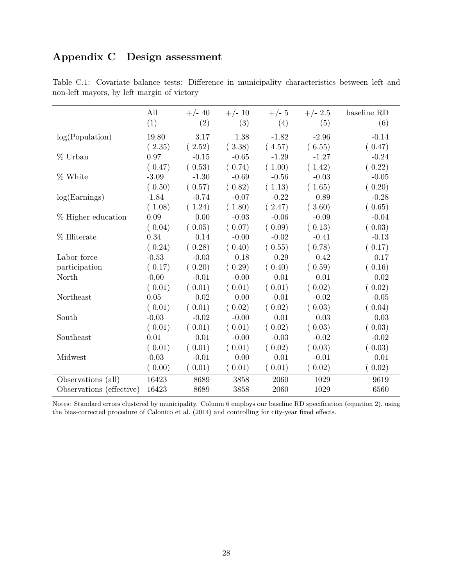## <span id="page-29-0"></span>**Appendix C Design assessment**

|                          | All     | $+/- 40$          | $+/- 10$ | $+/- 5$ | $+/- 2.5$ | baseline RD |
|--------------------------|---------|-------------------|----------|---------|-----------|-------------|
|                          | (1)     | $\left( 2\right)$ | (3)      | (4)     | (5)       | (6)         |
| log(Population)          | 19.80   | 3.17              | 1.38     | $-1.82$ | $-2.96$   | $-0.14$     |
|                          | (2.35)  | (2.52)            | (3.38)   | (4.57)  | (6.55)    | (0.47)      |
| % Urban                  | 0.97    | $-0.15$           | $-0.65$  | $-1.29$ | $-1.27$   | $-0.24$     |
|                          | (0.47)  | (0.53)            | (0.74)   | (1.00)  | (1.42)    | (0.22)      |
| % White                  | $-3.09$ | $-1.30$           | $-0.69$  | $-0.56$ | $-0.03$   | $-0.05$     |
|                          | (0.50)  | (0.57)            | (0.82)   | (1.13)  | (1.65)    | (0.20)      |
| log(Earnings)            | $-1.84$ | $-0.74$           | $-0.07$  | $-0.22$ | 0.89      | $-0.28$     |
|                          | (1.08)  | (1.24)            | (1.80)   | (2.47)  | (3.60)    | (0.65)      |
| % Higher education       | 0.09    | 0.00              | $-0.03$  | $-0.06$ | $-0.09$   | $-0.04$     |
|                          | (0.04)  | (0.05)            | (0.07)   | (0.09)  | (0.13)    | (0.03)      |
| % Illiterate             | 0.34    | 0.14              | $-0.00$  | $-0.02$ | $-0.41$   | $-0.13$     |
|                          | (0.24)  | (0.28)            | (0.40)   | (0.55)  | (0.78)    | (0.17)      |
| Labor force              | $-0.53$ | $-0.03$           | 0.18     | 0.29    | 0.42      | 0.17        |
| participation            | (0.17)  | (0.20)            | (0.29)   | (0.40)  | (0.59)    | (0.16)      |
| North                    | $-0.00$ | $-0.01$           | $-0.00$  | 0.01    | 0.01      | 0.02        |
|                          | (0.01)  | (0.01)            | (0.01)   | (0.01)  | (0.02)    | (0.02)      |
| Northeast                | 0.05    | 0.02              | 0.00     | $-0.01$ | $-0.02$   | $-0.05$     |
|                          | (0.01)  | (0.01)            | (0.02)   | (0.02)  | (0.03)    | (0.04)      |
| South                    | $-0.03$ | $-0.02$           | $-0.00$  | 0.01    | 0.03      | 0.03        |
|                          | (0.01)  | (0.01)            | (0.01)   | (0.02)  | (0.03)    | (0.03)      |
| Southeast                | 0.01    | 0.01              | $-0.00$  | $-0.03$ | $-0.02$   | $-0.02$     |
|                          | (0.01)  | (0.01)            | (0.01)   | (0.02)  | (0.03)    | (0.03)      |
| Midwest                  | $-0.03$ | $-0.01$           | 0.00     | 0.01    | $-0.01$   | 0.01        |
|                          | (0.00)  | (0.01)            | (0.01)   | (0.01)  | (0.02)    | (0.02)      |
| Observations (all)       | 16423   | 8689              | 3858     | 2060    | 1029      | 9619        |
| Observations (effective) | 16423   | 8689              | 3858     | 2060    | 1029      | 6560        |

<span id="page-29-1"></span>Table C.1: Covariate balance tests: Difference in municipality characteristics between left and non-left mayors, by left margin of victory

Notes: Standard errors clustered by municipality. Column 6 employs our baseline RD specification (equation [2](#page-8-1)), using the bias-corrected procedure of [Calonico et al.](#page-18-8) [\(2014\)](#page-18-8) and controlling for city-year fixed effects.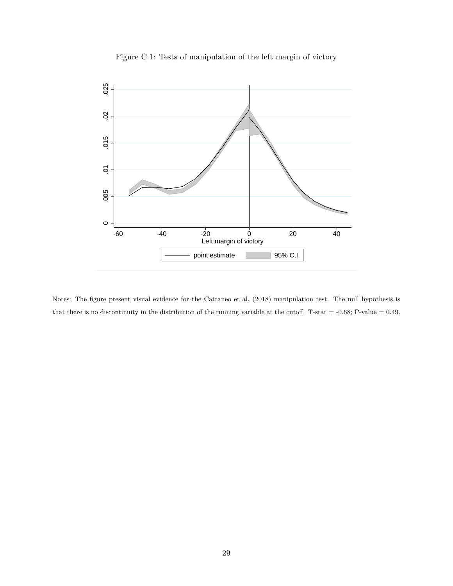<span id="page-30-0"></span>

Figure C.1: Tests of manipulation of the left margin of victory

Notes: The figure present visual evidence for the [Cattaneo et al.](#page-18-10) ([2018](#page-18-10)) manipulation test. The null hypothesis is that there is no discontinuity in the distribution of the running variable at the cutoff. T-stat  $=$  -0.68; P-value  $=$  0.49.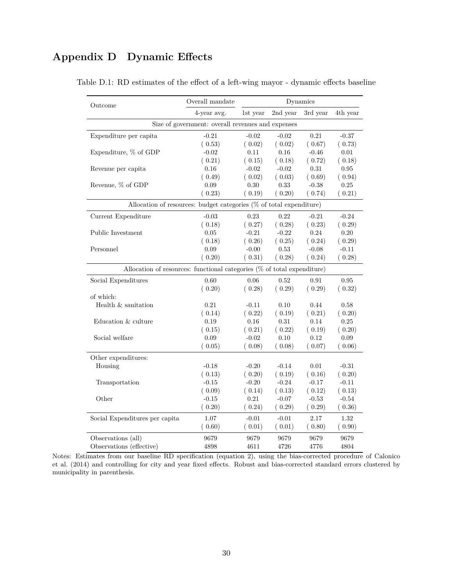## <span id="page-31-1"></span><span id="page-31-0"></span>**Appendix D Dynamic Effects**

| Outcome                                                                    | Overall mandate                                   | Dynamics |          |          |            |  |  |  |
|----------------------------------------------------------------------------|---------------------------------------------------|----------|----------|----------|------------|--|--|--|
|                                                                            | 4-year avg.                                       | 1st year | 2nd year | 3rd year | 4th year   |  |  |  |
|                                                                            | Size of government: overall revenues and expenses |          |          |          |            |  |  |  |
| Expenditure per capita                                                     | $-0.21$                                           | $-0.02$  | $-0.02$  | 0.21     | $-0.37$    |  |  |  |
|                                                                            | (0.53)                                            | (0.02)   | (0.02)   | (0.67)   | (0.73)     |  |  |  |
| Expenditure, % of GDP                                                      | $-0.02$                                           | 0.11     | 0.16     | $-0.46$  | 0.01       |  |  |  |
|                                                                            | (0.21)                                            | (0.15)   | (0.18)   | (0.72)   | (0.18)     |  |  |  |
| Revenue per capita                                                         | 0.16                                              | $-0.02$  | $-0.02$  | 0.31     | $\rm 0.95$ |  |  |  |
|                                                                            | (0.49)                                            | (0.02)   | (0.03)   | (0.69)   | (0.94)     |  |  |  |
| Revenue, % of GDP                                                          | 0.09                                              | $0.30\,$ | 0.33     | $-0.38$  | $0.25\,$   |  |  |  |
|                                                                            | (0.23)                                            | (0.19)   | (0.20)   | (0.74)   | (0.21)     |  |  |  |
| Allocation of resources: budget categories (% of total expenditure)        |                                                   |          |          |          |            |  |  |  |
| Current Expenditure                                                        | $-0.03$                                           | 0.23     | 0.22     | $-0.21$  | $-0.24$    |  |  |  |
|                                                                            | (0.18)                                            | (0.27)   | (0.28)   | (0.23)   | (0.29)     |  |  |  |
| Public Investment                                                          | $0.05\,$                                          | $-0.21$  | $-0.22$  | 0.24     | 0.20       |  |  |  |
|                                                                            | (0.18)                                            | (0.26)   | (0.25)   | (0.24)   | (0.29)     |  |  |  |
| Personnel                                                                  | 0.09                                              | $-0.00$  | 0.53     | $-0.08$  | $-0.11$    |  |  |  |
|                                                                            | (0.20)                                            | (0.31)   | (0.28)   | (0.24)   | (0.28)     |  |  |  |
| Allocation of resources: functional categories $(\%$ of total expenditure) |                                                   |          |          |          |            |  |  |  |
| Social Expenditures                                                        | 0.60                                              | 0.06     | 0.52     | 0.91     | 0.95       |  |  |  |
|                                                                            | (0.20)                                            | (0.28)   | (0.29)   | (0.29)   | (0.32)     |  |  |  |
| of which:                                                                  |                                                   |          |          |          |            |  |  |  |
| Health & sanitation                                                        | 0.21                                              | $-0.11$  | 0.10     | 0.44     | 0.58       |  |  |  |
|                                                                            | (0.14)                                            | (0.22)   | (0.19)   | (0.21)   | (0.20)     |  |  |  |
| Education & culture                                                        | 0.19                                              | 0.16     | 0.31     | 0.14     | $0.25\,$   |  |  |  |
|                                                                            | (0.15)                                            | (0.21)   | (0.22)   | (0.19)   | (0.20)     |  |  |  |
| Social welfare                                                             | 0.09                                              | $-0.02$  | 0.10     | 0.12     | 0.09       |  |  |  |
|                                                                            | (0.05)                                            | (0.08)   | (0.08)   | (0.07)   | (0.06)     |  |  |  |
| Other expenditures:                                                        |                                                   |          |          |          |            |  |  |  |
| Housing                                                                    | $-0.18$                                           | $-0.20$  | $-0.14$  | 0.01     | $-0.31$    |  |  |  |
|                                                                            | (0.13)                                            | (0.20)   | (0.19)   | (0.16)   | (0.20)     |  |  |  |
| Transportation                                                             | $-0.15$                                           | $-0.20$  | $-0.24$  | $-0.17$  | $-0.11$    |  |  |  |
|                                                                            | (0.09)                                            | (0.14)   | (0.13)   | (0.12)   | (0.13)     |  |  |  |
| Other                                                                      | $-0.15$                                           | 0.21     | $-0.07$  | $-0.53$  | $-0.54$    |  |  |  |
|                                                                            | (0.20)                                            | (0.24)   | (0.29)   | (0.29)   | (0.36)     |  |  |  |
| Social Expenditures per capita                                             | $1.07\,$                                          | $-0.01$  | $-0.01$  | 2.17     | 1.32       |  |  |  |
|                                                                            | (0.60)                                            | (0.01)   | (0.01)   | (0.80)   | (0.90)     |  |  |  |
| Observations (all)                                                         | 9679                                              | 9679     | 9679     | 9679     | 9679       |  |  |  |
| Observations (effective)                                                   | 4898                                              | 4611     | 4726     | 4776     | 4804       |  |  |  |

Table D.1: RD estimates of the effect of a left-wing mayor - dynamic effects baseline

Notes: Estimates from our baseline RD specification (equation [2](#page-8-1)), using the bias-corrected procedure of [Calonico](#page-18-8) [et al.](#page-18-8) ([2014](#page-18-8)) and controlling for city and year fixed effects. Robust and bias-corrected standard errors clustered by municipality in parenthesis.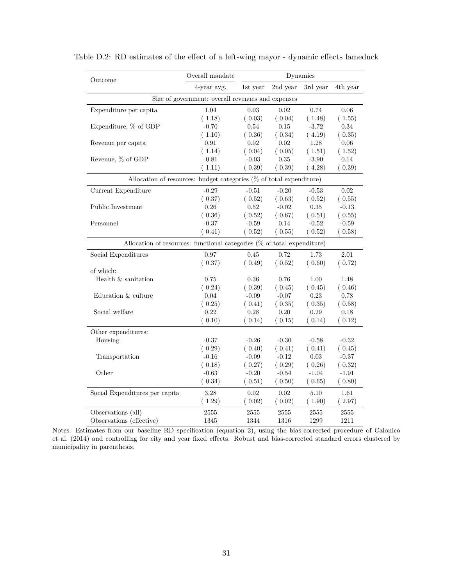| Outcome                                                                    | Overall mandate                                   |            |          | Dynamics |          |  |  |  |
|----------------------------------------------------------------------------|---------------------------------------------------|------------|----------|----------|----------|--|--|--|
|                                                                            | 4-year avg.                                       | 1st year   | 2nd year | 3rd year | 4th year |  |  |  |
|                                                                            | Size of government: overall revenues and expenses |            |          |          |          |  |  |  |
| Expenditure per capita                                                     | 1.04                                              | $\,0.03\,$ | 0.02     | 0.74     | $0.06\,$ |  |  |  |
|                                                                            | (1.18)                                            | (0.03)     | (0.04)   | (1.48)   | (1.55)   |  |  |  |
| Expenditure, % of GDP                                                      | $-0.70$                                           | 0.54       | 0.15     | $-3.72$  | 0.34     |  |  |  |
|                                                                            | (1.10)                                            | (0.36)     | (0.34)   | (4.19)   | (0.35)   |  |  |  |
| Revenue per capita                                                         | 0.91                                              | $0.02\,$   | 0.02     | 1.28     | $0.06\,$ |  |  |  |
|                                                                            | (1.14)                                            | (0.04)     | (0.05)   | (1.51)   | (1.52)   |  |  |  |
| Revenue, % of GDP                                                          | $-0.81$                                           | $-0.03$    | $0.35\,$ | $-3.90$  | 0.14     |  |  |  |
|                                                                            | (1.11)                                            | (0.39)     | (0.39)   | (4.28)   | (0.39)   |  |  |  |
| Allocation of resources: budget categories (% of total expenditure)        |                                                   |            |          |          |          |  |  |  |
| Current Expenditure                                                        | $-0.29$                                           | $-0.51$    | $-0.20$  | $-0.53$  | 0.02     |  |  |  |
|                                                                            | (0.37)                                            | (0.52)     | (0.63)   | (0.52)   | (0.55)   |  |  |  |
| Public Investment                                                          | 0.26                                              | 0.52       | $-0.02$  | $0.35\,$ | $-0.13$  |  |  |  |
|                                                                            | (0.36)                                            | (0.52)     | (0.67)   | (0.51)   | (0.55)   |  |  |  |
| Personnel                                                                  | $-0.37$                                           | $-0.59$    | 0.14     | $-0.52$  | $-0.59$  |  |  |  |
|                                                                            | (0.41)                                            | (0.52)     | (0.55)   | (0.52)   | (0.58)   |  |  |  |
| Allocation of resources: functional categories $(\%$ of total expenditure) |                                                   |            |          |          |          |  |  |  |
| Social Expenditures                                                        | 0.97                                              | 0.45       | 0.72     | 1.73     | 2.01     |  |  |  |
|                                                                            | (0.37)                                            | (0.49)     | (0.52)   | (0.60)   | (0.72)   |  |  |  |
| of which:                                                                  |                                                   |            |          |          |          |  |  |  |
| Health & sanitation                                                        | 0.75                                              | 0.36       | 0.76     | 1.00     | 1.48     |  |  |  |
|                                                                            | (0.24)                                            | (0.39)     | (0.45)   | (0.45)   | (0.46)   |  |  |  |
| Education & culture                                                        | 0.04                                              | $-0.09$    | $-0.07$  | 0.23     | 0.78     |  |  |  |
|                                                                            | (0.25)                                            | (0.41)     | (0.35)   | (0.35)   | (0.58)   |  |  |  |
| Social welfare                                                             | 0.22                                              | 0.28       | 0.20     | 0.29     | 0.18     |  |  |  |
|                                                                            | (0.10)                                            | (0.14)     | (0.15)   | (0.14)   | (0.12)   |  |  |  |
| Other expenditures:                                                        |                                                   |            |          |          |          |  |  |  |
| Housing                                                                    | $-0.37$                                           | $-0.26$    | $-0.30$  | $-0.58$  | $-0.32$  |  |  |  |
|                                                                            | (0.29)                                            | (0.40)     | (0.41)   | (0.41)   | (0.45)   |  |  |  |
| Transportation                                                             | $-0.16$                                           | $-0.09$    | $-0.12$  | 0.03     | $-0.37$  |  |  |  |
|                                                                            | (0.18)                                            | (0.27)     | (0.29)   | (0.26)   | (0.32)   |  |  |  |
| Other                                                                      | $-0.63$                                           | $-0.20$    | $-0.54$  | $-1.04$  | $-1.91$  |  |  |  |
|                                                                            | (0.34)                                            | (0.51)     | (0.50)   | (0.65)   | (0.80)   |  |  |  |
| Social Expenditures per capita                                             | 3.28                                              | 0.02       | 0.02     | 5.10     | 1.61     |  |  |  |
|                                                                            | (1.29)                                            | (0.02)     | (0.02)   | (1.90)   | (2.97)   |  |  |  |
|                                                                            |                                                   |            |          |          |          |  |  |  |
| Observations (all)                                                         | 2555                                              | 2555       | 2555     | 2555     | 2555     |  |  |  |
| Observations (effective)                                                   | 1345                                              | 1344       | 1316     | 1299     | 1211     |  |  |  |

Table D.2: RD estimates of the effect of a left-wing mayor - dynamic effects lameduck

Notes: Estimates from our baseline RD specification (equation [2](#page-8-1)), using the bias-corrected procedure of [Calonico](#page-18-8) [et al.](#page-18-8) ([2014](#page-18-8)) and controlling for city and year fixed effects. Robust and bias-corrected standard errors clustered by municipality in parenthesis.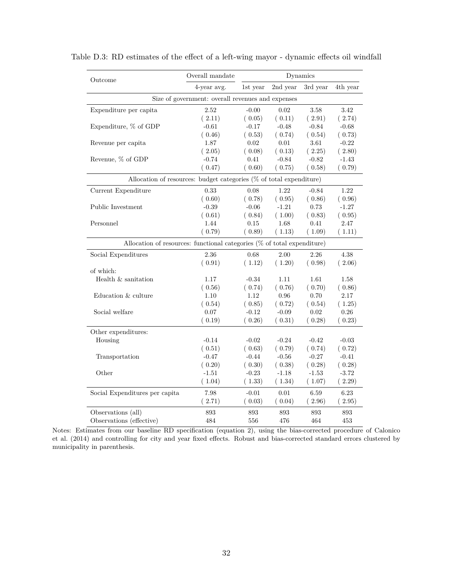| Outcome                                                                    | Overall mandate                                   |            |            |            |          |  |  |  |
|----------------------------------------------------------------------------|---------------------------------------------------|------------|------------|------------|----------|--|--|--|
|                                                                            | 4-year avg.                                       | 1st year   | 2nd year   | 3rd year   | 4th year |  |  |  |
|                                                                            | Size of government: overall revenues and expenses |            |            |            |          |  |  |  |
| Expenditure per capita                                                     | $2.52\,$                                          | $-0.00$    | $\,0.02\,$ | $3.58\,$   | 3.42     |  |  |  |
|                                                                            | (2.11)                                            | (0.05)     | (0.11)     | (2.91)     | (2.74)   |  |  |  |
| Expenditure, % of GDP                                                      | $-0.61$                                           | $-0.17$    | $-0.48$    | $-0.84$    | $-0.68$  |  |  |  |
|                                                                            | (0.46)                                            | (0.53)     | (0.74)     | (0.54)     | (0.73)   |  |  |  |
| Revenue per capita                                                         | 1.87                                              | 0.02       | 0.01       | 3.61       | $-0.22$  |  |  |  |
|                                                                            | (2.05)                                            | (0.08)     | (0.13)     | (2.25)     | (2.80)   |  |  |  |
| Revenue, % of GDP                                                          | $-0.74$                                           | 0.41       | $-0.84$    | $-0.82$    | $-1.43$  |  |  |  |
|                                                                            | (0.47)                                            | (0.60)     | (0.75)     | (0.58)     | (0.79)   |  |  |  |
| Allocation of resources: budget categories (% of total expenditure)        |                                                   |            |            |            |          |  |  |  |
| Current Expenditure                                                        | 0.33                                              | 0.08       | 1.22       | $-0.84$    | 1.22     |  |  |  |
|                                                                            | (0.60)                                            | (0.78)     | (0.95)     | (0.86)     | (0.96)   |  |  |  |
| Public Investment                                                          | $-0.39$                                           | $-0.06$    | $-1.21$    | 0.73       | $-1.27$  |  |  |  |
|                                                                            | (0.61)                                            | (0.84)     | (1.00)     | (0.83)     | (0.95)   |  |  |  |
| Personnel                                                                  | 1.44                                              | $0.15\,$   | 1.68       | 0.41       | 2.47     |  |  |  |
|                                                                            | (0.79)                                            | (0.89)     | (1.13)     | (1.09)     | (1.11)   |  |  |  |
| Allocation of resources: functional categories $(\%$ of total expenditure) |                                                   |            |            |            |          |  |  |  |
| Social Expenditures                                                        | 2.36                                              | 0.68       | 2.00       | 2.26       | 4.38     |  |  |  |
|                                                                            | (0.91)                                            | (1.12)     | (1.20)     | (0.98)     | (2.06)   |  |  |  |
| of which:                                                                  |                                                   |            |            |            |          |  |  |  |
| Health & sanitation                                                        | 1.17                                              | $-0.34$    | 1.11       | 1.61       | 1.58     |  |  |  |
|                                                                            | (0.56)                                            | (0.74)     | (0.76)     | (0.70)     | (0.86)   |  |  |  |
| Education & culture                                                        | 1.10                                              | 1.12       | 0.96       | 0.70       | $2.17\,$ |  |  |  |
|                                                                            | (0.54)                                            | (0.85)     | (0.72)     | (0.54)     | (1.25)   |  |  |  |
| Social welfare                                                             | 0.07                                              | $-0.12$    | $-0.09$    | 0.02       | 0.26     |  |  |  |
|                                                                            | (0.19)                                            | (0.26)     | (0.31)     | (0.28)     | (0.23)   |  |  |  |
| Other expenditures:                                                        |                                                   |            |            |            |          |  |  |  |
| Housing                                                                    | $-0.14$                                           | $-0.02$    | $-0.24$    | $-0.42$    | $-0.03$  |  |  |  |
|                                                                            | (0.51)                                            | (0.63)     | (0.79)     | (0.74)     | (0.72)   |  |  |  |
| Transportation                                                             | $-0.47$                                           | $-0.44$    | $-0.56$    | $-0.27$    | $-0.41$  |  |  |  |
|                                                                            | (0.20)                                            | (0.30)     | (0.38)     | (0.28)     | (0.28)   |  |  |  |
| Other                                                                      | $-1.51$                                           | $-0.23$    | $-1.18$    | $-1.53$    | $-3.72$  |  |  |  |
|                                                                            | (1.04)                                            | (1.33)     | (1.34)     | (1.07)     | (2.29)   |  |  |  |
| Social Expenditures per capita                                             | 7.98                                              | $-0.01$    | 0.01       | 6.59       | 6.23     |  |  |  |
|                                                                            | (2.71)                                            | (0.03)     | (0.04)     | (2.96)     | (2.95)   |  |  |  |
|                                                                            |                                                   |            |            |            |          |  |  |  |
| Observations (all)                                                         | 893<br>484                                        | 893<br>556 | 893<br>476 | 893<br>464 | 893      |  |  |  |
| Observations (effective)                                                   |                                                   |            |            |            | 453      |  |  |  |

Table D.3: RD estimates of the effect of a left-wing mayor - dynamic effects oil windfall

Notes: Estimates from our baseline RD specification (equation [2](#page-8-1)), using the bias-corrected procedure of [Calonico](#page-18-8) [et al.](#page-18-8) ([2014](#page-18-8)) and controlling for city and year fixed effects. Robust and bias-corrected standard errors clustered by municipality in parenthesis.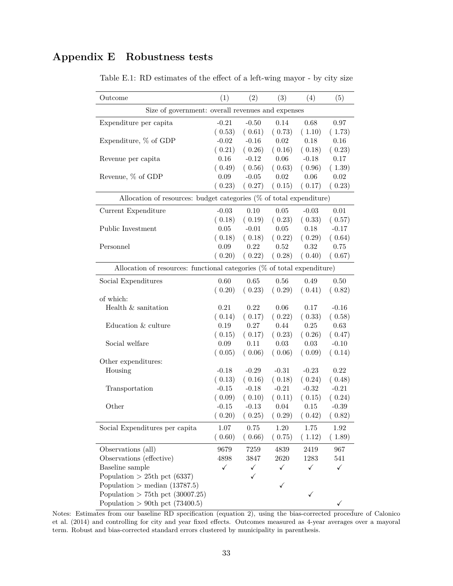## <span id="page-34-1"></span><span id="page-34-0"></span>**Appendix E Robustness tests**

| Outcome                                                                 | (1)      | (2)      | (3)      | (4)      | (5)          |
|-------------------------------------------------------------------------|----------|----------|----------|----------|--------------|
| Size of government: overall revenues and expenses                       |          |          |          |          |              |
| Expenditure per capita                                                  | $-0.21$  | $-0.50$  | 0.14     | 0.68     | 0.97         |
|                                                                         | (0.53)   | (0.61)   | (0.73)   | (1.10)   | (1.73)       |
| Expenditure, $\%$ of GDP                                                | $-0.02$  | $-0.16$  | $0.02\,$ | 0.18     | 0.16         |
|                                                                         | (0.21)   | (0.26)   | (0.16)   | (0.18)   | (0.23)       |
| Revenue per capita                                                      | 0.16     | $-0.12$  | 0.06     | $-0.18$  | 0.17         |
|                                                                         | (0.49)   | (0.56)   | (0.63)   | (0.96)   | (1.39)       |
| Revenue, % of GDP                                                       | $0.09\,$ | $-0.05$  | 0.02     | $0.06\,$ | $0.02\,$     |
|                                                                         | (0.23)   | (0.27)   | (0.15)   | (0.17)   | (0.23)       |
| Allocation of resources: budget categories (% of total expenditure)     |          |          |          |          |              |
| Current Expenditure                                                     | $-0.03$  | 0.10     | $0.05\,$ | $-0.03$  | 0.01         |
|                                                                         | (0.18)   | (0.19)   | (0.23)   | (0.33)   | (0.57)       |
| Public Investment                                                       | 0.05     | $-0.01$  | $0.05\,$ | 0.18     | $-0.17$      |
|                                                                         | (0.18)   | (0.18)   | (0.22)   | (0.29)   | (0.64)       |
| Personnel                                                               | 0.09     | 0.22     | $0.52\,$ | 0.32     | 0.75         |
|                                                                         | (0.20)   | (0.22)   | (0.28)   | (0.40)   | (0.67)       |
| Allocation of resources: functional categories (% of total expenditure) |          |          |          |          |              |
| Social Expenditures                                                     | 0.60     | 0.65     | 0.56     | 0.49     | 0.50         |
|                                                                         | (0.20)   | (0.23)   | (0.29)   | (0.41)   | (0.82)       |
| of which:                                                               |          |          |          |          |              |
| Health $\&$ sanitation                                                  | 0.21     | 0.22     | 0.06     | 0.17     | $-0.16$      |
|                                                                         | (0.14)   | (0.17)   | (0.22)   | (0.33)   | (0.58)       |
| Education & culture                                                     | 0.19     | 0.27     | 0.44     | 0.25     | 0.63         |
|                                                                         | (0.15)   | (0.17)   | (0.23)   | (0.26)   | (0.47)       |
| Social welfare                                                          | 0.09     | 0.11     | 0.03     | 0.03     | $-0.10$      |
|                                                                         | (0.05)   | (0.06)   | (0.06)   | (0.09)   | (0.14)       |
| Other expenditures:                                                     |          |          |          |          |              |
| Housing                                                                 | $-0.18$  | $-0.29$  | $-0.31$  | $-0.23$  | $0.22\,$     |
|                                                                         | (0.13)   | (0.16)   | (0.18)   | (0.24)   | (0.48)       |
| Transportation                                                          | $-0.15$  | $-0.18$  | $-0.21$  | $-0.32$  | $-0.21$      |
|                                                                         | (0.09)   | (0.10)   | (0.11)   | (0.15)   | (0.24)       |
| Other                                                                   | $-0.15$  | $-0.13$  | 0.04     | $0.15\,$ | $-0.39$      |
|                                                                         | (0.20)   | (0.25)   | (0.29)   | (0.42)   | (0.82)       |
| Social Expenditures per capita                                          | 1.07     | $0.75\,$ | $1.20\,$ | $1.75\,$ | $1.92\,$     |
|                                                                         | (0.60)   | (0.66)   | (0.75)   | (1.12)   | (1.89)       |
| Observations (all)                                                      | 9679     | 7259     | 4839     | 2419     | 967          |
| Observations (effective)                                                | 4898     | 3847     | 2620     | 1283     | 541          |
| Baseline sample                                                         | ✓        | ✓        | ✓        | ✓        | $\checkmark$ |
| Population $>$ 25th pct (6337)                                          |          | ✓        |          |          |              |
| Population > median $(13787.5)$                                         |          |          | ✓        |          |              |
| Population $> 75$ th pct (30007.25)                                     |          |          |          | ✓        |              |
| Population > 90th pct $(73400.5)$                                       |          |          |          |          | ✓            |

Table E.1: RD estimates of the effect of a left-wing mayor - by city size

Notes: Estimates from our baseline RD specification (equation [2](#page-8-1)), using the bias-corrected procedure of [Calonico](#page-18-8) [et al.](#page-18-8) [\(2014\)](#page-18-8) and controlling for city and year fixed effects. Outcomes measured as 4-year averages over a mayoral term. Robust and bias-corrected standard errors clustered by municipality in parenthesis.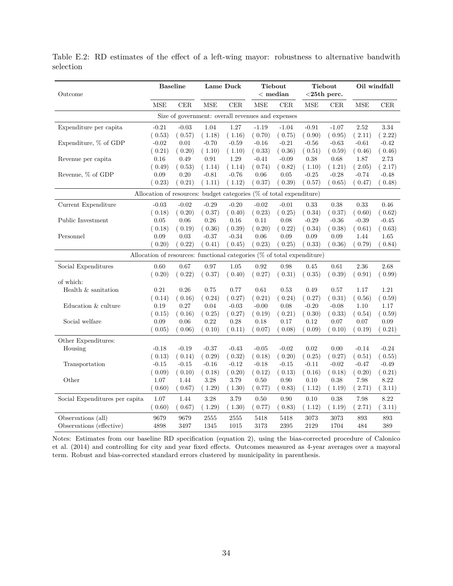| Outcome                        |         | <b>Baseline</b> | Lame Duck                                                                  |            | Tiebout<br>$<$ median |           | Tiebout<br>$<$ 25th perc. |            | Oil windfall |            |
|--------------------------------|---------|-----------------|----------------------------------------------------------------------------|------------|-----------------------|-----------|---------------------------|------------|--------------|------------|
|                                | MSE     | $\rm CER$       | $\operatorname{MSE}$                                                       | <b>CER</b> | MSE                   | $\rm CER$ | <b>MSE</b>                | CER        | <b>MSE</b>   | <b>CER</b> |
|                                |         |                 | Size of government: overall revenues and expenses                          |            |                       |           |                           |            |              |            |
| Expenditure per capita         | $-0.21$ | $-0.03$         | 1.04                                                                       | $1.27\,$   | $-1.19$               | $-1.04$   | $-0.91$                   | $-1.07$    | $2.52\,$     | 3.34       |
|                                | (0.53)  | (0.57)          | (1.18)                                                                     | (1.16)     | (0.70)                | (0.75)    | (0.90)                    | (0.95)     | (2.11)       | (2.22)     |
| Expenditure, % of GDP          | $-0.02$ | 0.01            | $-0.70$                                                                    | $-0.59$    | $-0.16$               | $-0.21$   | $-0.56$                   | $-0.63$    | $-0.61$      | $-0.42$    |
|                                | (0.21)  | (0.20)          | (1.10)                                                                     | (1.10)     | (0.33)                | (0.36)    | (0.51)                    | (0.59)     | (0.46)       | (0.46)     |
| Revenue per capita             | 0.16    | 0.49            | 0.91                                                                       | 1.29       | $-0.41$               | $-0.09$   | 0.38                      | 0.68       | 1.87         | 2.73       |
|                                | (0.49)  | (0.53)          | (1.14)                                                                     | (1.14)     | (0.74)                | (0.82)    | (1.10)                    | (1.21)     | (2.05)       | (2.17)     |
| Revenue, % of GDP              | 0.09    | $0.20\,$        | $-0.81$                                                                    | $-0.76$    | 0.06                  | 0.05      | $-0.25$                   | $-0.28$    | $-0.74$      | $-0.48$    |
|                                | (0.23)  | (0.21)          | (1.11)                                                                     | (1.12)     | (0.37)                | (0.39)    | (0.57)                    | (0.65)     | (0.47)       | (0.48)     |
|                                |         |                 | Allocation of resources: budget categories (% of total expenditure)        |            |                       |           |                           |            |              |            |
| Current Expenditure            | $-0.03$ | $-0.02$         | $-0.29$                                                                    | $-0.20$    | $-0.02$               | $-0.01$   | 0.33                      | 0.38       | 0.33         | 0.46       |
|                                | (0.18)  | (0.20)          | (0.37)                                                                     | (0.40)     | (0.23)                | (0.25)    | (0.34)                    | (0.37)     | (0.60)       | (0.62)     |
| Public Investment              | 0.05    | $0.06\,$        | $0.26\,$                                                                   | $0.16\,$   | $0.11\,$              | 0.08      | $-0.29$                   | $-0.36$    | $-0.39$      | $-0.45$    |
|                                | (0.18)  | (0.19)          | (0.36)                                                                     | (0.39)     | (0.20)                | (0.22)    | (0.34)                    | (0.38)     | (0.61)       | (0.63)     |
| Personnel                      | 0.09    | 0.03            | $-0.37$                                                                    | $-0.34$    | 0.06                  | 0.09      | 0.09                      | 0.09       | 1.44         | 1.65       |
|                                | (0.20)  | (0.22)          | (0.41)                                                                     | (0.45)     | (0.23)                | (0.25)    | (0.33)                    | (0.36)     | (0.79)       | (0.84)     |
|                                |         |                 | Allocation of resources: functional categories $(\%$ of total expenditure) |            |                       |           |                           |            |              |            |
| Social Expenditures            | 0.60    | 0.67            | 0.97                                                                       | $1.05\,$   | 0.92                  | 0.98      | 0.45                      | $\,0.61\,$ | 2.36         | 2.68       |
|                                | (0.20)  | (0.22)          | (0.37)                                                                     | (0.40)     | (0.27)                | (0.31)    | (0.35)                    | (0.39)     | (0.91)       | (0.99)     |
| of which:                      |         |                 |                                                                            |            |                       |           |                           |            |              |            |
| Health & sanitation            | 0.21    | 0.26            | 0.75                                                                       | 0.77       | 0.61                  | 0.53      | 0.49                      | 0.57       | 1.17         | 1.21       |
|                                | (0.14)  | (0.16)          | (0.24)                                                                     | (0.27)     | (0.21)                | (0.24)    | (0.27)                    | (0.31)     | (0.56)       | (0.59)     |
| Education & culture            | 0.19    | 0.27            | 0.04                                                                       | $-0.03$    | $-0.00$               | 0.08      | $-0.20$                   | $-0.08$    | 1.10         | 1.17       |
|                                | (0.15)  | (0.16)          | (0.25)                                                                     | (0.27)     | (0.19)                | (0.21)    | (0.30)                    | (0.33)     | (0.54)       | (0.59)     |
| Social welfare                 | 0.09    | $0.06\,$        | 0.22                                                                       | $0.28\,$   | 0.18                  | 0.17      | 0.12                      | $0.07\,$   | 0.07         | 0.09       |
|                                | (0.05)  | (0.06)          | (0.10)                                                                     | (0.11)     | (0.07)                | (0.08)    | (0.09)                    | (0.10)     | (0.19)       | (0.21)     |
| Other Expenditures:            |         |                 |                                                                            |            |                       |           |                           |            |              |            |
| Housing                        | $-0.18$ | $-0.19$         | $-0.37$                                                                    | $-0.43$    | $-0.05$               | $-0.02$   | 0.02                      | 0.00       | $-0.14$      | $-0.24$    |
|                                | (0.13)  | (0.14)          | (0.29)                                                                     | (0.32)     | (0.18)                | (0.20)    | (0.25)                    | (0.27)     | (0.51)       | (0.55)     |
| Transportation                 | $-0.15$ | $-0.15$         | $-0.16$                                                                    | $-0.12$    | $-0.18$               | $-0.15$   | $-0.11$                   | $-0.02$    | $-0.47$      | $-0.49$    |
|                                | (0.09)  | (0.10)          | (0.18)                                                                     | (0.20)     | (0.12)                | (0.13)    | (0.16)                    | (0.18)     | (0.20)       | (0.21)     |
| Other                          | 1.07    | 1.44            | 3.28                                                                       | 3.79       | 0.50                  | 0.90      | 0.10                      | 0.38       | 7.98         | 8.22       |
|                                | (0.60)  | (0.67)          | (1.29)                                                                     | (1.30)     | (0.77)                | (0.83)    | (1.12)                    | (1.19)     | (2.71)       | (3.11)     |
| Social Expenditures per capita | 1.07    | 1.44            | 3.28                                                                       | 3.79       | 0.50                  | 0.90      | 0.10                      | 0.38       | 7.98         | 8.22       |
|                                | (0.60)  | (0.67)          | (1.29)                                                                     | (1.30)     | (0.77)                | (0.83)    | (1.12)                    | (1.19)     | (2.71)       | (.3.11)    |
| Observations (all)             | 9679    | 9679            | 2555                                                                       | 2555       | 5418                  | 5418      | 3073                      | 3073       | 893          | 893        |
| Observations (effective)       | 4898    | 3497            | 1345                                                                       | 1015       | 3173                  | $\,2395$  | 2129                      | 1704       | 484          | 389        |

<span id="page-35-0"></span>Table E.2: RD estimates of the effect of a left-wing mayor: robustness to alternative bandwith selection

Notes: Estimates from our baseline RD specification (equation [2](#page-8-1)), using the bias-corrected procedure of [Calonico](#page-18-8) [et al.](#page-18-8) [\(2014\)](#page-18-8) and controlling for city and year fixed effects. Outcomes measured as 4-year averages over a mayoral term. Robust and bias-corrected standard errors clustered by municipality in parenthesis.